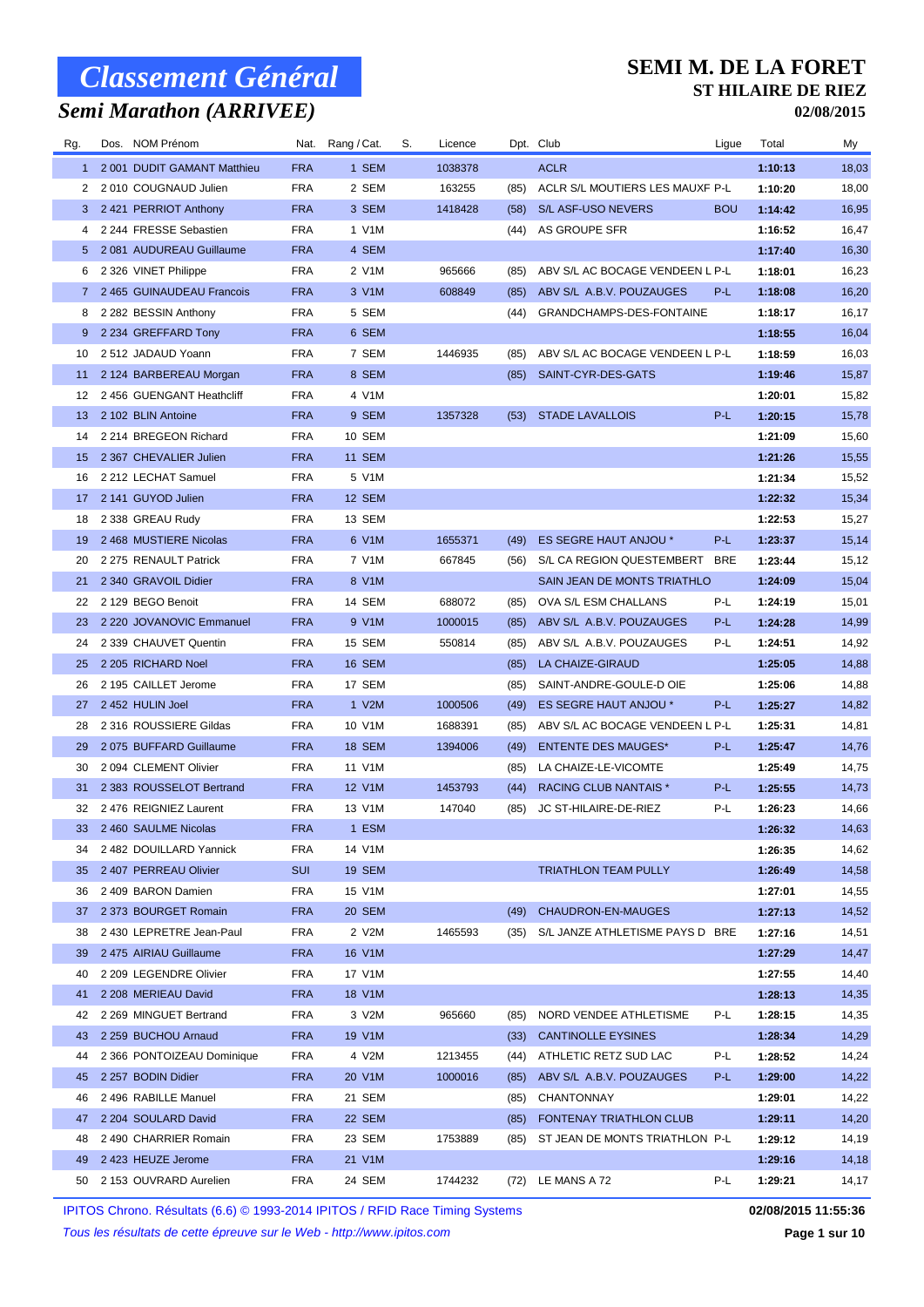## *Semi Marathon (ARRIVEE)*

#### **SEMI M. DE LA FORET ST HILAIRE DE RIEZ**

**02/08/2015**

| Rg.   | Dos. NOM Prénom             |            | Nat. Rang / Cat. | S. | Licence |      | Dpt. Club                       | Ligue      | Total   | My    |
|-------|-----------------------------|------------|------------------|----|---------|------|---------------------------------|------------|---------|-------|
| $1 -$ | 2 001 DUDIT GAMANT Matthieu | <b>FRA</b> | 1 SEM            |    | 1038378 |      | <b>ACLR</b>                     |            | 1:10:13 | 18,03 |
| 2     | 2010 COUGNAUD Julien        | <b>FRA</b> | 2 SEM            |    | 163255  | (85) | ACLR S/L MOUTIERS LES MAUXF P-L |            | 1:10:20 | 18,00 |
|       | 3 2421 PERRIOT Anthony      | <b>FRA</b> | 3 SEM            |    | 1418428 | (58) | S/L ASF-USO NEVERS              | <b>BOU</b> | 1:14:42 | 16,95 |
| 4     | 2 244 FRESSE Sebastien      | <b>FRA</b> | 1 V1M            |    |         | (44) | AS GROUPE SFR                   |            | 1:16:52 | 16,47 |
|       | 5 2081 AUDUREAU Guillaume   | <b>FRA</b> | 4 SEM            |    |         |      |                                 |            | 1:17:40 | 16,30 |
| 6     | 2 326 VINET Philippe        | <b>FRA</b> | 2 V1M            |    | 965666  | (85) | ABV S/L AC BOCAGE VENDEEN L P-L |            | 1:18:01 | 16,23 |
| 7.    | 2 465 GUINAUDEAU Francois   | <b>FRA</b> | 3 V1M            |    | 608849  | (85) | ABV S/L A.B.V. POUZAUGES        | $P-L$      | 1:18:08 | 16,20 |
| 8     | 2 282 BESSIN Anthony        | <b>FRA</b> | 5 SEM            |    |         | (44) | GRANDCHAMPS-DES-FONTAINE        |            | 1:18:17 | 16,17 |
| 9     | 2 234 GREFFARD Tony         | <b>FRA</b> | 6 SEM            |    |         |      |                                 |            | 1:18:55 | 16,04 |
| 10    | 2 512 JADAUD Yoann          | <b>FRA</b> | 7 SEM            |    | 1446935 | (85) | ABV S/L AC BOCAGE VENDEEN L P-L |            | 1:18:59 | 16,03 |
| 11    | 2 124 BARBEREAU Morgan      | <b>FRA</b> | 8 SEM            |    |         | (85) | SAINT-CYR-DES-GATS              |            | 1:19:46 | 15,87 |
| 12    | 2456 GUENGANT Heathcliff    | <b>FRA</b> | 4 V1M            |    |         |      |                                 |            | 1:20:01 | 15,82 |
| 13    | 2 102 BLIN Antoine          | <b>FRA</b> | 9 SEM            |    | 1357328 | (53) | <b>STADE LAVALLOIS</b>          | $P-L$      | 1:20:15 | 15,78 |
| 14    | 2 214 BREGEON Richard       | <b>FRA</b> | 10 SEM           |    |         |      |                                 |            | 1:21:09 | 15,60 |
| 15    | 2 367 CHEVALIER Julien      | <b>FRA</b> | <b>11 SEM</b>    |    |         |      |                                 |            | 1:21:26 | 15,55 |
| 16    | 2 212 LECHAT Samuel         | <b>FRA</b> | 5 V1M            |    |         |      |                                 |            | 1:21:34 | 15,52 |
|       | 17 2 141 GUYOD Julien       | <b>FRA</b> | 12 SEM           |    |         |      |                                 |            | 1:22:32 | 15,34 |
| 18    | 2 338 GREAU Rudy            | <b>FRA</b> | 13 SEM           |    |         |      |                                 |            | 1:22:53 | 15,27 |
| 19    | 2468 MUSTIERE Nicolas       | <b>FRA</b> | 6 V1M            |    | 1655371 | (49) | ES SEGRE HAUT ANJOU *           | P-L        | 1:23:37 | 15,14 |
| 20    | 2 275 RENAULT Patrick       | <b>FRA</b> | 7 V1M            |    | 667845  | (56) | S/L CA REGION QUESTEMBERT       | <b>BRE</b> | 1:23:44 | 15,12 |
| 21    | 2 340 GRAVOIL Didier        | <b>FRA</b> | 8 V1M            |    |         |      | SAIN JEAN DE MONTS TRIATHLO     |            | 1:24:09 | 15,04 |
| 22    | 2 129 BEGO Benoit           | <b>FRA</b> | 14 SEM           |    | 688072  | (85) | OVA S/L ESM CHALLANS            | P-L        | 1:24:19 | 15,01 |
| 23    | 2 220 JOVANOVIC Emmanuel    | <b>FRA</b> | 9 V1M            |    | 1000015 | (85) | ABV S/L A.B.V. POUZAUGES        | P-L        | 1:24:28 | 14,99 |
| 24    | 2 339 CHAUVET Quentin       | <b>FRA</b> | 15 SEM           |    | 550814  | (85) | ABV S/L A.B.V. POUZAUGES        | P-L        | 1:24:51 | 14,92 |
| 25    | 2 205 RICHARD Noel          | <b>FRA</b> | 16 SEM           |    |         |      | LA CHAIZE-GIRAUD                |            | 1:25:05 | 14,88 |
|       |                             |            |                  |    |         | (85) |                                 |            |         |       |
| 26    | 2 195 CAILLET Jerome        | <b>FRA</b> | 17 SEM           |    |         | (85) | SAINT-ANDRE-GOULE-D OIE         |            | 1:25:06 | 14,88 |
| 27    | 2 452 HULIN Joel            | <b>FRA</b> | 1 V2M            |    | 1000506 | (49) | ES SEGRE HAUT ANJOU *           | P-L        | 1:25:27 | 14,82 |
| 28    | 2 316 ROUSSIERE Gildas      | <b>FRA</b> | 10 V1M           |    | 1688391 | (85) | ABV S/L AC BOCAGE VENDEEN L P-L |            | 1:25:31 | 14,81 |
| 29    | 2075 BUFFARD Guillaume      | <b>FRA</b> | 18 SEM           |    | 1394006 | (49) | <b>ENTENTE DES MAUGES*</b>      | $P-L$      | 1:25:47 | 14,76 |
| 30    | 2 094 CLEMENT Olivier       | <b>FRA</b> | 11 V1M           |    |         | (85) | LA CHAIZE-LE-VICOMTE            |            | 1:25:49 | 14,75 |
| 31    | 2 383 ROUSSELOT Bertrand    | <b>FRA</b> | 12 V1M           |    | 1453793 | (44) | RACING CLUB NANTAIS *           | P-L        | 1:25:55 | 14,73 |
| 32    | 2476 REIGNIEZ Laurent       | <b>FRA</b> | 13 V1M           |    | 147040  | (85) | JC ST-HILAIRE-DE-RIEZ           | P-L        | 1:26:23 | 14,66 |
|       | 33 2460 SAULME Nicolas      | <b>FRA</b> | 1 ESM            |    |         |      |                                 |            | 1:26:32 | 14,63 |
| 34    | 2 482 DOUILLARD Yannick     | <b>FRA</b> | 14 V1M           |    |         |      |                                 |            | 1:26:35 | 14,62 |
|       | 35 2 407 PERREAU Olivier    | <b>SUI</b> | 19 SEM           |    |         |      | <b>TRIATHLON TEAM PULLY</b>     |            | 1:26:49 | 14,58 |
| 36    | 2 409 BARON Damien          | <b>FRA</b> | 15 V1M           |    |         |      |                                 |            | 1:27:01 | 14,55 |
| 37    | 2 373 BOURGET Romain        | <b>FRA</b> | 20 SEM           |    |         | (49) | CHAUDRON-EN-MAUGES              |            | 1:27:13 | 14,52 |
| 38    | 2 430 LEPRETRE Jean-Paul    | <b>FRA</b> | 2 V2M            |    | 1465593 | (35) | S/L JANZE ATHLETISME PAYS D BRE |            | 1:27:16 | 14,51 |
| 39    | 2 475 AIRIAU Guillaume      | <b>FRA</b> | 16 V1M           |    |         |      |                                 |            | 1:27:29 | 14,47 |
| 40    | 2 209 LEGENDRE Olivier      | <b>FRA</b> | 17 V1M           |    |         |      |                                 |            | 1:27:55 | 14,40 |
| 41    | 2 208 MERIEAU David         | <b>FRA</b> | 18 V1M           |    |         |      |                                 |            | 1:28:13 | 14,35 |
| 42    | 2 269 MINGUET Bertrand      | <b>FRA</b> | 3 V2M            |    | 965660  |      | (85) NORD VENDEE ATHLETISME     | P-L        | 1:28:15 | 14,35 |
| 43    | 2 259 BUCHOU Arnaud         | <b>FRA</b> | 19 V1M           |    |         | (33) | <b>CANTINOLLE EYSINES</b>       |            | 1:28:34 | 14,29 |
| 44    | 2 366 PONTOIZEAU Dominique  | <b>FRA</b> | 4 V2M            |    | 1213455 |      | (44) ATHLETIC RETZ SUD LAC      | P-L        | 1:28:52 | 14,24 |
| 45    | 2 257 BODIN Didier          | <b>FRA</b> | 20 V1M           |    | 1000016 | (85) | ABV S/L A.B.V. POUZAUGES        | P-L        | 1:29:00 | 14,22 |
| 46    | 2496 RABILLE Manuel         | <b>FRA</b> | 21 SEM           |    |         | (85) | CHANTONNAY                      |            | 1:29:01 | 14,22 |
| 47    | 2 204 SOULARD David         | <b>FRA</b> | 22 SEM           |    |         | (85) | FONTENAY TRIATHLON CLUB         |            | 1:29:11 | 14,20 |
| 48    | 2490 CHARRIER Romain        | <b>FRA</b> | 23 SEM           |    | 1753889 | (85) | ST JEAN DE MONTS TRIATHLON P-L  |            | 1:29:12 | 14,19 |
| 49    | 2 423 HEUZE Jerome          | <b>FRA</b> | 21 V1M           |    |         |      |                                 |            | 1:29:16 | 14,18 |
| 50    | 2 153 OUVRARD Aurelien      | <b>FRA</b> | 24 SEM           |    | 1744232 |      | (72) LE MANS A 72               | P-L        | 1:29:21 | 14,17 |

IPITOS Chrono. Résultats (6.6) © 1993-2014 IPITOS / RFID Race Timing Systems **02/08/2015 11:55:36**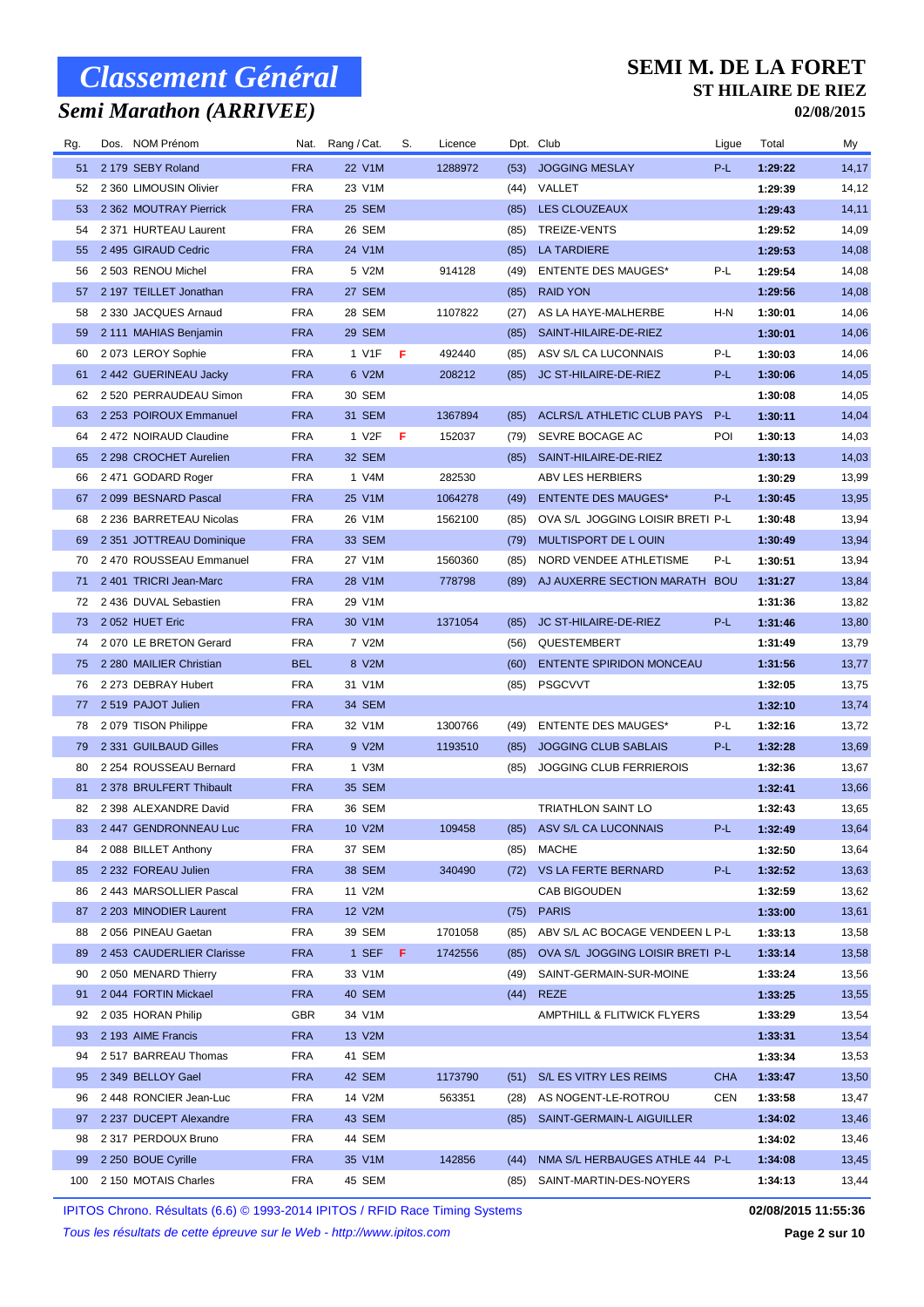### *Semi Marathon (ARRIVEE)*

#### **SEMI M. DE LA FORET ST HILAIRE DE RIEZ**

**02/08/2015**

| Rg. | Dos. NOM Prénom           |            | Nat. Rang / Cat.   | S.  | Licence |      | Dpt. Club                             | Ligue      | Total   | My    |
|-----|---------------------------|------------|--------------------|-----|---------|------|---------------------------------------|------------|---------|-------|
| 51  | 2 179 SEBY Roland         | <b>FRA</b> | 22 V1M             |     | 1288972 | (53) | <b>JOGGING MESLAY</b>                 | P-L        | 1:29:22 | 14,17 |
| 52  | 2 360 LIMOUSIN Olivier    | <b>FRA</b> | 23 V1M             |     |         | (44) | VALLET                                |            | 1:29:39 | 14,12 |
| 53  | 2 362 MOUTRAY Pierrick    | <b>FRA</b> | 25 SEM             |     |         | (85) | LES CLOUZEAUX                         |            | 1:29:43 | 14,11 |
| 54  | 2 371 HURTEAU Laurent     | <b>FRA</b> | 26 SEM             |     |         | (85) | TREIZE-VENTS                          |            | 1:29:52 | 14,09 |
| 55  | 2 495 GIRAUD Cedric       | <b>FRA</b> | 24 V1M             |     |         | (85) | <b>LA TARDIERE</b>                    |            | 1:29:53 | 14,08 |
| 56  | 2 503 RENOU Michel        | <b>FRA</b> | 5 V2M              |     | 914128  | (49) | <b>ENTENTE DES MAUGES*</b>            | P-L        | 1:29:54 | 14,08 |
| 57  | 2 197 TEILLET Jonathan    | <b>FRA</b> | 27 SEM             |     |         | (85) | <b>RAID YON</b>                       |            | 1:29:56 | 14,08 |
| 58  | 2 330 JACQUES Arnaud      | <b>FRA</b> | 28 SEM             |     | 1107822 | (27) | AS LA HAYE-MALHERBE                   | H-N        | 1:30:01 | 14,06 |
| 59  | 2 111 MAHIAS Benjamin     | <b>FRA</b> | 29 SEM             |     |         | (85) | SAINT-HILAIRE-DE-RIEZ                 |            | 1:30:01 | 14,06 |
| 60  | 2073 LEROY Sophie         | <b>FRA</b> | 1 V1F              | - F | 492440  | (85) | ASV S/L CA LUCONNAIS                  | P-L        | 1:30:03 | 14,06 |
| 61  | 2 442 GUERINEAU Jacky     | <b>FRA</b> | 6 V2M              |     | 208212  | (85) | JC ST-HILAIRE-DE-RIEZ                 | P-L        | 1:30:06 | 14,05 |
| 62  | 2 520 PERRAUDEAU Simon    | <b>FRA</b> | 30 SEM             |     |         |      |                                       |            | 1:30:08 | 14,05 |
| 63  | 2 253 POIROUX Emmanuel    | <b>FRA</b> | 31 SEM             |     | 1367894 | (85) | ACLRS/L ATHLETIC CLUB PAYS            | P-L        | 1:30:11 | 14,04 |
| 64  | 2472 NOIRAUD Claudine     | <b>FRA</b> | 1 V <sub>2</sub> F | F   | 152037  | (79) | SEVRE BOCAGE AC                       | POI        | 1:30:13 | 14,03 |
| 65  | 2 298 CROCHET Aurelien    | <b>FRA</b> | 32 SEM             |     |         | (85) | SAINT-HILAIRE-DE-RIEZ                 |            | 1:30:13 | 14,03 |
| 66  | 2471 GODARD Roger         | <b>FRA</b> | 1 V4M              |     | 282530  |      | ABV LES HERBIERS                      |            | 1:30:29 | 13,99 |
| 67  | 2099 BESNARD Pascal       | <b>FRA</b> | 25 V1M             |     | 1064278 | (49) | <b>ENTENTE DES MAUGES*</b>            | P-L        | 1:30:45 | 13,95 |
| 68  | 2 236 BARRETEAU Nicolas   | <b>FRA</b> | 26 V1M             |     | 1562100 | (85) | OVA S/L JOGGING LOISIR BRETI P-L      |            | 1:30:48 | 13,94 |
| 69  | 2 351 JOTTREAU Dominique  | <b>FRA</b> | 33 SEM             |     |         | (79) | MULTISPORT DE L OUIN                  |            | 1:30:49 | 13,94 |
| 70  | 2 470 ROUSSEAU Emmanuel   | <b>FRA</b> | 27 V1M             |     | 1560360 | (85) | NORD VENDEE ATHLETISME                | P-L        | 1:30:51 | 13,94 |
| 71  | 2 401 TRICRI Jean-Marc    | <b>FRA</b> | 28 V1M             |     | 778798  | (89) | AJ AUXERRE SECTION MARATH BOU         |            | 1:31:27 | 13,84 |
| 72  | 2 436 DUVAL Sebastien     | <b>FRA</b> | 29 V1M             |     |         |      |                                       |            | 1:31:36 | 13,82 |
| 73  | 2052 HUET Eric            | <b>FRA</b> | 30 V1M             |     | 1371054 | (85) | JC ST-HILAIRE-DE-RIEZ                 | $P-L$      | 1:31:46 | 13,80 |
| 74  | 2070 LE BRETON Gerard     | <b>FRA</b> | 7 V2M              |     |         | (56) | QUESTEMBERT                           |            | 1:31:49 | 13,79 |
| 75  | 2 280 MAILIER Christian   | <b>BEL</b> | 8 V2M              |     |         | (60) | <b>ENTENTE SPIRIDON MONCEAU</b>       |            | 1:31:56 | 13,77 |
| 76  | 2 273 DEBRAY Hubert       | <b>FRA</b> | 31 V1M             |     |         | (85) | <b>PSGCVVT</b>                        |            | 1:32:05 | 13,75 |
| 77  | 2 519 PAJOT Julien        | <b>FRA</b> | 34 SEM             |     |         |      |                                       |            | 1:32:10 | 13,74 |
| 78  | 2079 TISON Philippe       | <b>FRA</b> | 32 V1M             |     | 1300766 | (49) | <b>ENTENTE DES MAUGES*</b>            | P-L        | 1:32:16 | 13,72 |
| 79  | 2 331 GUILBAUD Gilles     | <b>FRA</b> | 9 V2M              |     | 1193510 | (85) | <b>JOGGING CLUB SABLAIS</b>           | P-L        | 1:32:28 | 13,69 |
| 80  | 2 254 ROUSSEAU Bernard    | <b>FRA</b> | 1 V3M              |     |         | (85) | <b>JOGGING CLUB FERRIEROIS</b>        |            | 1:32:36 | 13,67 |
| 81  | 2 378 BRULFERT Thibault   | <b>FRA</b> | 35 SEM             |     |         |      |                                       |            | 1:32:41 | 13,66 |
| 82  | 2 398 ALEXANDRE David     | <b>FRA</b> | 36 SEM             |     |         |      | <b>TRIATHLON SAINT LO</b>             |            | 1:32:43 | 13,65 |
|     | 83 2447 GENDRONNEAU Luc   | <b>FRA</b> | 10 V2M             |     | 109458  |      | (85) ASV S/L CA LUCONNAIS             | $P-L$      | 1:32:49 | 13,64 |
| 84  | 2088 BILLET Anthony       | <b>FRA</b> | 37 SEM             |     |         | (85) | MACHE                                 |            | 1:32:50 | 13,64 |
| 85  | 2 232 FOREAU Julien       | <b>FRA</b> | 38 SEM             |     | 340490  |      | (72) VS LA FERTE BERNARD              | P-L        | 1:32:52 | 13,63 |
| 86  | 2443 MARSOLLIER Pascal    | <b>FRA</b> | 11 V2M             |     |         |      | CAB BIGOUDEN                          |            | 1:32:59 | 13,62 |
| 87  | 2 203 MINODIER Laurent    | <b>FRA</b> | 12 V2M             |     |         | (75) | <b>PARIS</b>                          |            | 1:33:00 | 13,61 |
| 88  | 2056 PINEAU Gaetan        | <b>FRA</b> | 39 SEM             |     | 1701058 | (85) | ABV S/L AC BOCAGE VENDEEN L P-L       |            | 1:33:13 | 13,58 |
| 89  | 2 453 CAUDERLIER Clarisse | <b>FRA</b> | 1 SEF              | F   | 1742556 | (85) | OVA S/L JOGGING LOISIR BRETI P-L      |            | 1:33:14 | 13,58 |
| 90  | 2050 MENARD Thierry       | <b>FRA</b> | 33 V1M             |     |         | (49) | SAINT-GERMAIN-SUR-MOINE               |            | 1:33:24 | 13,56 |
| 91  | 2044 FORTIN Mickael       | <b>FRA</b> | 40 SEM             |     |         | (44) | <b>REZE</b>                           |            | 1:33:25 | 13,55 |
| 92  | 2 035 HORAN Philip        | <b>GBR</b> | 34 V1M             |     |         |      | <b>AMPTHILL &amp; FLITWICK FLYERS</b> |            | 1:33:29 | 13,54 |
| 93  | 2 193 AIME Francis        | <b>FRA</b> | 13 V2M             |     |         |      |                                       |            | 1:33:31 | 13,54 |
| 94  | 2 517 BARREAU Thomas      | <b>FRA</b> | 41 SEM             |     |         |      |                                       |            | 1:33:34 | 13,53 |
| 95  | 2 349 BELLOY Gael         | <b>FRA</b> | 42 SEM             |     | 1173790 | (51) | S/L ES VITRY LES REIMS                | <b>CHA</b> | 1:33:47 | 13,50 |
| 96  | 2448 RONCIER Jean-Luc     | <b>FRA</b> | 14 V2M             |     | 563351  | (28) | AS NOGENT-LE-ROTROU                   | CEN        | 1:33:58 | 13,47 |
| 97  | 2 237 DUCEPT Alexandre    | <b>FRA</b> | 43 SEM             |     |         | (85) | SAINT-GERMAIN-L AIGUILLER             |            | 1:34:02 | 13,46 |
| 98  | 2 317 PERDOUX Bruno       | <b>FRA</b> | 44 SEM             |     |         |      |                                       |            | 1:34:02 | 13,46 |
| 99  | 2 250 BOUE Cyrille        | <b>FRA</b> | 35 V1M             |     | 142856  | (44) | NMA S/L HERBAUGES ATHLE 44 P-L        |            | 1:34:08 | 13,45 |
| 100 | 2 150 MOTAIS Charles      | <b>FRA</b> | 45 SEM             |     |         | (85) | SAINT-MARTIN-DES-NOYERS               |            | 1:34:13 | 13,44 |
|     |                           |            |                    |     |         |      |                                       |            |         |       |

IPITOS Chrono. Résultats (6.6) © 1993-2014 IPITOS / RFID Race Timing Systems **02/08/2015 11:55:36**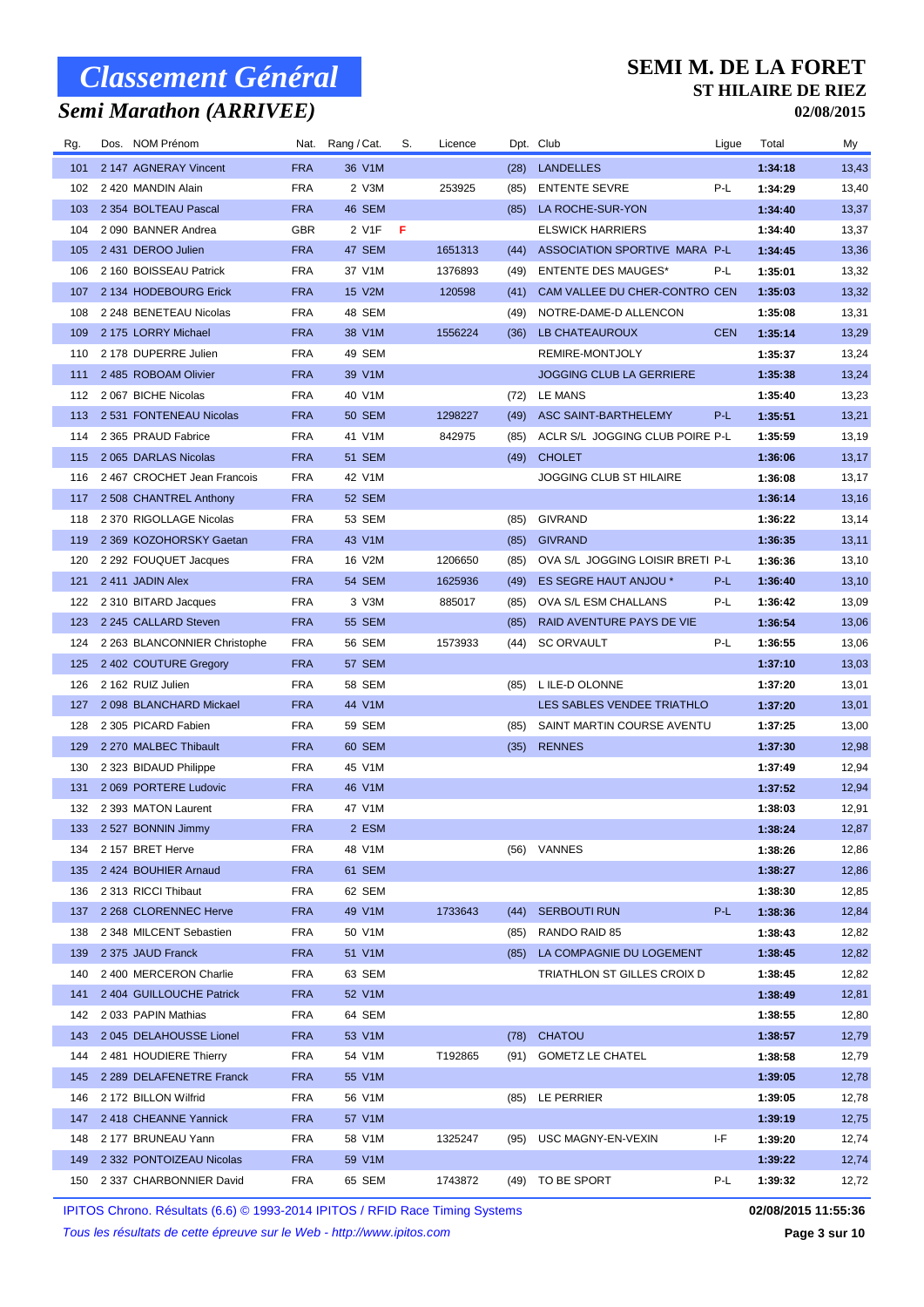## *Semi Marathon (ARRIVEE)*

#### **SEMI M. DE LA FORET ST HILAIRE DE RIEZ**

**02/08/2015**

| Rg.        | Dos. NOM Prénom                                 | Nat.                     | Rang / Cat.      | S. | Licence |              | Dpt. Club                                | Ligue      | Total              | My             |
|------------|-------------------------------------------------|--------------------------|------------------|----|---------|--------------|------------------------------------------|------------|--------------------|----------------|
| 101        | 2 147 AGNERAY Vincent                           | <b>FRA</b>               | 36 V1M           |    |         | (28)         | <b>LANDELLES</b>                         |            | 1:34:18            | 13,43          |
| 102        | 2 420 MANDIN Alain                              | <b>FRA</b>               | 2 V3M            |    | 253925  | (85)         | <b>ENTENTE SEVRE</b>                     | P-L        | 1:34:29            | 13,40          |
| 103        | 2 354 BOLTEAU Pascal                            | <b>FRA</b>               | 46 SEM           |    |         | (85)         | LA ROCHE-SUR-YON                         |            | 1:34:40            | 13,37          |
| 104        | 2090 BANNER Andrea                              | <b>GBR</b>               | 2 V1F            | F  |         |              | <b>ELSWICK HARRIERS</b>                  |            | 1:34:40            | 13,37          |
| 105        | 2 431 DEROO Julien                              | <b>FRA</b>               | 47 SEM           |    | 1651313 | (44)         | ASSOCIATION SPORTIVE MARA P-L            |            | 1:34:45            | 13,36          |
| 106        | 2 160 BOISSEAU Patrick                          | <b>FRA</b>               | 37 V1M           |    | 1376893 | (49)         | <b>ENTENTE DES MAUGES*</b>               | P-L        | 1:35:01            | 13,32          |
| 107        | 2 134 HODEBOURG Erick                           | <b>FRA</b>               | 15 V2M           |    | 120598  | (41)         | CAM VALLEE DU CHER-CONTRO CEN            |            | 1:35:03            | 13,32          |
| 108        | 2 248 BENETEAU Nicolas                          | <b>FRA</b>               | 48 SEM           |    |         | (49)         | NOTRE-DAME-D ALLENCON                    |            | 1:35:08            | 13,31          |
| 109        | 2 175 LORRY Michael                             | <b>FRA</b>               | 38 V1M           |    | 1556224 | (36)         | LB CHATEAUROUX                           | <b>CEN</b> | 1:35:14            | 13,29          |
| 110        | 2 178 DUPERRE Julien                            | <b>FRA</b>               | 49 SEM           |    |         |              | REMIRE-MONTJOLY                          |            | 1:35:37            | 13,24          |
| 111        | 2 485 ROBOAM Olivier                            | <b>FRA</b>               | 39 V1M           |    |         |              | <b>JOGGING CLUB LA GERRIERE</b>          |            | 1:35:38            | 13,24          |
| 112        | 2 067 BICHE Nicolas                             | <b>FRA</b>               | 40 V1M           |    |         | (72)         | LE MANS                                  |            | 1:35:40            | 13,23          |
| 113        | 2 531 FONTENEAU Nicolas                         | <b>FRA</b>               | <b>50 SEM</b>    |    | 1298227 | (49)         | ASC SAINT-BARTHELEMY                     | P-L        | 1:35:51            | 13,21          |
| 114        | 2 365 PRAUD Fabrice                             | <b>FRA</b>               | 41 V1M           |    | 842975  | (85)         | ACLR S/L JOGGING CLUB POIRE P-L          |            | 1:35:59            | 13,19          |
| 115        | 2 065 DARLAS Nicolas                            | <b>FRA</b>               | <b>51 SEM</b>    |    |         | (49)         | <b>CHOLET</b>                            |            | 1:36:06            | 13,17          |
| 116        | 2467 CROCHET Jean Francois                      | <b>FRA</b>               | 42 V1M           |    |         |              | JOGGING CLUB ST HILAIRE                  |            | 1:36:08            | 13,17          |
| 117        | 2 508 CHANTREL Anthony                          | <b>FRA</b>               | <b>52 SEM</b>    |    |         |              |                                          |            | 1:36:14            | 13,16          |
| 118        | 2 370 RIGOLLAGE Nicolas                         | <b>FRA</b>               | 53 SEM           |    |         | (85)         | <b>GIVRAND</b>                           |            | 1:36:22            | 13,14          |
| 119        | 2 369 KOZOHORSKY Gaetan                         | <b>FRA</b>               | 43 V1M           |    |         | (85)         | <b>GIVRAND</b>                           |            | 1:36:35            | 13,11          |
| 120        | 2 292 FOUQUET Jacques                           | <b>FRA</b>               | 16 V2M           |    | 1206650 | (85)         | OVA S/L JOGGING LOISIR BRETI P-L         |            | 1:36:36            | 13,10          |
| 121        | 2411 JADIN Alex                                 | <b>FRA</b>               | 54 SEM           |    | 1625936 | (49)         | ES SEGRE HAUT ANJOU *                    | P-L        | 1:36:40            | 13,10          |
| 122        | 2 310 BITARD Jacques                            | <b>FRA</b>               | 3 V3M            |    | 885017  | (85)         | OVA S/L ESM CHALLANS                     | P-L        | 1:36:42            | 13,09          |
| 123        | 2 245 CALLARD Steven                            | <b>FRA</b>               | <b>55 SEM</b>    |    |         | (85)         | RAID AVENTURE PAYS DE VIE                |            | 1:36:54            | 13,06          |
| 124        | 2 263 BLANCONNIER Christophe                    | <b>FRA</b>               | 56 SEM           |    | 1573933 | (44)         | <b>SC ORVAULT</b>                        | P-L        | 1:36:55            | 13,06          |
| 125        | 2 402 COUTURE Gregory                           | <b>FRA</b>               | 57 SEM           |    |         |              |                                          |            | 1:37:10            | 13,03          |
| 126        | 2 162 RUIZ Julien                               | <b>FRA</b>               | 58 SEM           |    |         | (85)         | L ILE-D OLONNE                           |            | 1:37:20            | 13,01          |
| 127        | 2098 BLANCHARD Mickael                          | <b>FRA</b>               | 44 V1M           |    |         |              | LES SABLES VENDEE TRIATHLO               |            | 1:37:20            | 13,01          |
| 128        | 2 305 PICARD Fabien                             | <b>FRA</b>               | 59 SEM           |    |         | (85)         | SAINT MARTIN COURSE AVENTU               |            | 1:37:25            | 13,00          |
| 129        | 2 270 MALBEC Thibault                           | <b>FRA</b>               | 60 SEM           |    |         | (35)         | <b>RENNES</b>                            |            | 1:37:30            | 12,98          |
| 130        | 2 323 BIDAUD Philippe                           | <b>FRA</b>               | 45 V1M           |    |         |              |                                          |            | 1:37:49            | 12,94          |
| 131        | 2069 PORTERE Ludovic                            | <b>FRA</b>               | 46 V1M           |    |         |              |                                          |            | 1:37:52            | 12,94          |
| 132        | 2 393 MATON Laurent                             | <b>FRA</b>               | 47 V1M           |    |         |              |                                          |            | 1:38:03            | 12,91          |
| 133        | 2 527 BONNIN Jimmy                              | FRA                      | 2 ESM            |    |         |              |                                          |            | 1:38:24            | 12,87          |
|            |                                                 | <b>FRA</b>               | 48 V1M           |    |         |              | (56) VANNES                              |            | 1:38:26            |                |
| 134<br>135 | 2 157 BRET Herve<br>2 424 BOUHIER Arnaud        | <b>FRA</b>               | 61 SEM           |    |         |              |                                          |            | 1:38:27            | 12,86<br>12,86 |
| 136        | 2 313 RICCI Thibaut                             | <b>FRA</b>               | 62 SEM           |    |         |              |                                          |            | 1:38:30            | 12,85          |
| 137        | 2 268 CLORENNEC Herve                           | <b>FRA</b>               | 49 V1M           |    | 1733643 | (44)         | <b>SERBOUTI RUN</b>                      | P-L        | 1:38:36            | 12,84          |
| 138        | 2 348 MILCENT Sebastien                         | FRA                      | 50 V1M           |    |         |              | RANDO RAID 85                            |            | 1:38:43            | 12,82          |
| 139        | 2 375 JAUD Franck                               | <b>FRA</b>               | 51 V1M           |    |         | (85)         | LA COMPAGNIE DU LOGEMENT                 |            | 1:38:45            | 12,82          |
| 140        | 2 400 MERCERON Charlie                          | <b>FRA</b>               | 63 SEM           |    |         | (85)         | TRIATHLON ST GILLES CROIX D              |            | 1:38:45            | 12,82          |
| 141        | 2 404 GUILLOUCHE Patrick                        | <b>FRA</b>               | 52 V1M           |    |         |              |                                          |            | 1:38:49            | 12,81          |
| 142        | 2033 PAPIN Mathias                              | FRA                      | 64 SEM           |    |         |              |                                          |            | 1:38:55            | 12,80          |
|            |                                                 |                          |                  |    |         |              |                                          |            |                    |                |
| 143<br>144 | 2045 DELAHOUSSE Lionel<br>2481 HOUDIERE Thierry | <b>FRA</b><br><b>FRA</b> | 53 V1M<br>54 V1M |    | T192865 | (78)<br>(91) | <b>CHATOU</b><br><b>GOMETZ LE CHATEL</b> |            | 1:38:57<br>1:38:58 | 12,79<br>12,79 |
|            |                                                 | <b>FRA</b>               |                  |    |         |              |                                          |            | 1:39:05            |                |
| 145        | 2 289 DELAFENETRE Franck                        | <b>FRA</b>               | 55 V1M           |    |         |              |                                          |            |                    | 12,78          |
| 146        | 2 172 BILLON Wilfrid                            |                          | 56 V1M           |    |         | (85)         | LE PERRIER                               |            | 1:39:05            | 12,78          |
| 147        | 2418 CHEANNE Yannick                            | <b>FRA</b>               | 57 V1M           |    |         |              |                                          | ŀF.        | 1:39:19            | 12,75          |
| 148        | 2 177 BRUNEAU Yann                              | <b>FRA</b>               | 58 V1M           |    | 1325247 | (95)         | USC MAGNY-EN-VEXIN                       |            | 1:39:20            | 12,74          |
| 149        | 2 332 PONTOIZEAU Nicolas                        | <b>FRA</b>               | 59 V1M           |    |         |              |                                          |            | 1:39:22            | 12,74          |
| 150        | 2 337 CHARBONNIER David                         | <b>FRA</b>               | 65 SEM           |    | 1743872 | (49)         | TO BE SPORT                              | P-L        | 1:39:32            | 12,72          |

IPITOS Chrono. Résultats (6.6) © 1993-2014 IPITOS / RFID Race Timing Systems **02/08/2015 11:55:36**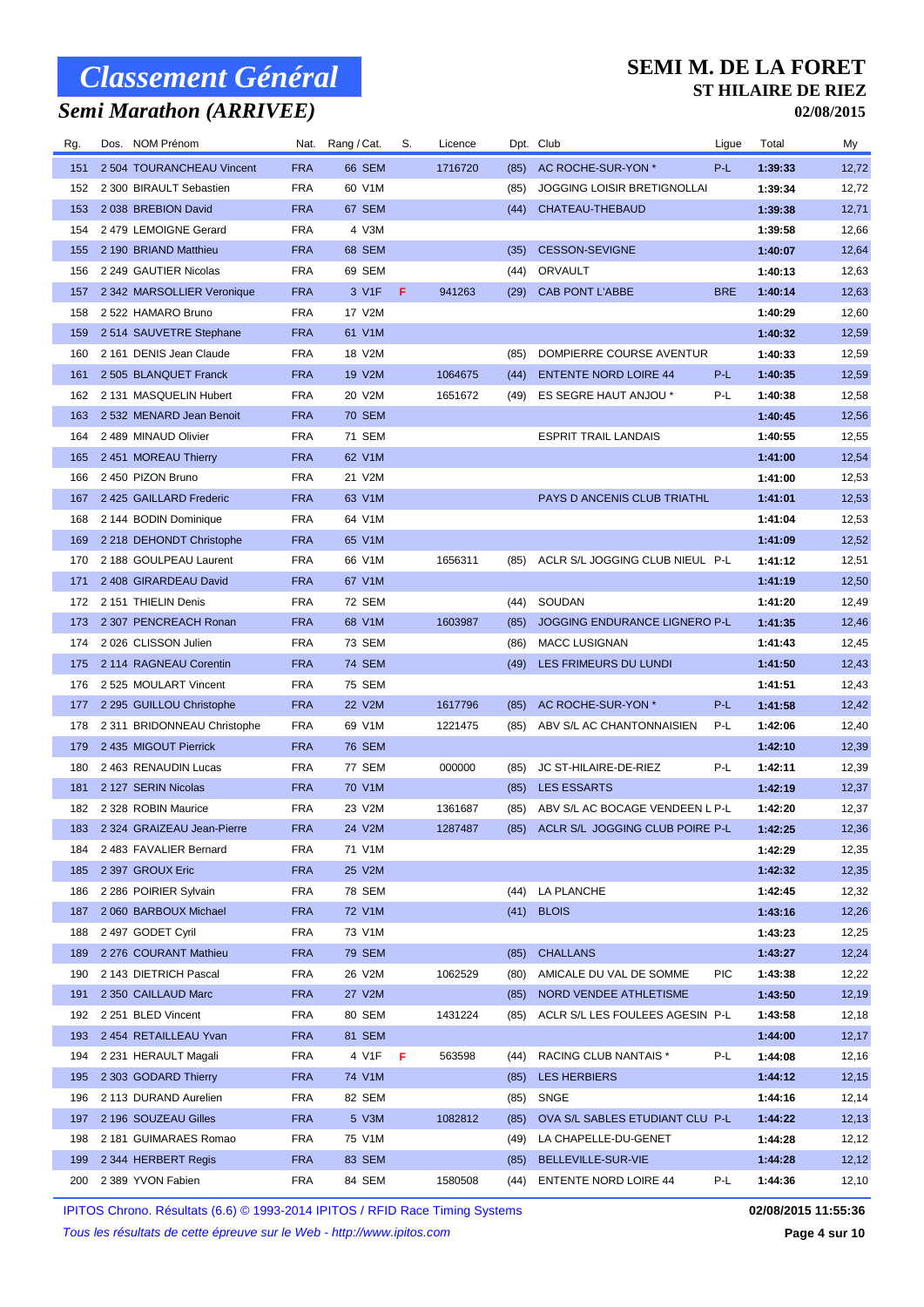## *Semi Marathon (ARRIVEE)*

#### **SEMI M. DE LA FORET ST HILAIRE DE RIEZ**

**02/08/2015**

| Rg.        | Dos. NOM Prénom                               | Nat.       | Rang / Cat.     | S. | Licence |              | Dpt. Club                          | Ligue      | Total              | My              |
|------------|-----------------------------------------------|------------|-----------------|----|---------|--------------|------------------------------------|------------|--------------------|-----------------|
| 151        | 2 504 TOURANCHEAU Vincent                     | <b>FRA</b> | 66 SEM          |    | 1716720 | (85)         | AC ROCHE-SUR-YON *                 | P-L        | 1:39:33            | 12,72           |
| 152        | 2 300 BIRAULT Sebastien                       | <b>FRA</b> | 60 V1M          |    |         | (85)         | <b>JOGGING LOISIR BRETIGNOLLAI</b> |            | 1:39:34            | 12,72           |
| 153        | 2038 BREBION David                            | <b>FRA</b> | 67 SEM          |    |         | (44)         | CHATEAU-THEBAUD                    |            | 1:39:38            | 12,71           |
| 154        | 2479 LEMOIGNE Gerard                          | <b>FRA</b> | 4 V3M           |    |         |              |                                    |            | 1:39:58            | 12,66           |
| 155        | 2 190 BRIAND Matthieu                         | <b>FRA</b> | 68 SEM          |    |         | (35)         | <b>CESSON-SEVIGNE</b>              |            | 1:40:07            | 12,64           |
| 156        | 2 249 GAUTIER Nicolas                         | <b>FRA</b> | 69 SEM          |    |         | (44)         | <b>ORVAULT</b>                     |            | 1:40:13            | 12,63           |
| 157        | 2 342 MARSOLLIER Veronique                    | <b>FRA</b> | 3 V1F           | F  | 941263  | (29)         | <b>CAB PONT L'ABBE</b>             | <b>BRE</b> | 1:40:14            | 12,63           |
| 158        | 2 522 HAMARO Bruno                            | <b>FRA</b> | 17 V2M          |    |         |              |                                    |            | 1:40:29            | 12,60           |
| 159        | 2514 SAUVETRE Stephane                        | <b>FRA</b> | 61 V1M          |    |         |              |                                    |            | 1:40:32            | 12,59           |
| 160        | 2 161 DENIS Jean Claude                       | <b>FRA</b> | 18 V2M          |    |         | (85)         | DOMPIERRE COURSE AVENTUR           |            | 1:40:33            | 12,59           |
| 161        | 2 505 BLANQUET Franck                         | <b>FRA</b> | 19 V2M          |    | 1064675 | (44)         | <b>ENTENTE NORD LOIRE 44</b>       | P-L        | 1:40:35            | 12,59           |
| 162        | 2 131 MASQUELIN Hubert                        | <b>FRA</b> | 20 V2M          |    | 1651672 | (49)         | ES SEGRE HAUT ANJOU *              | P-L        | 1:40:38            | 12,58           |
| 163        | 2 532 MENARD Jean Benoit                      | <b>FRA</b> | 70 SEM          |    |         |              |                                    |            | 1:40:45            | 12,56           |
| 164        | 2 489 MINAUD Olivier                          | <b>FRA</b> | 71 SEM          |    |         |              | <b>ESPRIT TRAIL LANDAIS</b>        |            | 1:40:55            | 12,55           |
| 165        | 2 451 MOREAU Thierry                          | <b>FRA</b> | 62 V1M          |    |         |              |                                    |            | 1:41:00            | 12,54           |
| 166        | 2 450 PIZON Bruno                             | <b>FRA</b> | 21 V2M          |    |         |              |                                    |            | 1:41:00            | 12,53           |
| 167        | 2425 GAILLARD Frederic                        | <b>FRA</b> | 63 V1M          |    |         |              | PAYS D ANCENIS CLUB TRIATHL        |            | 1:41:01            | 12,53           |
| 168        | 2 144 BODIN Dominique                         | <b>FRA</b> | 64 V1M          |    |         |              |                                    |            | 1:41:04            | 12,53           |
| 169        | 2 218 DEHONDT Christophe                      | <b>FRA</b> | 65 V1M          |    |         |              |                                    |            | 1:41:09            | 12,52           |
| 170        | 2 188 GOULPEAU Laurent                        | <b>FRA</b> | 66 V1M          |    | 1656311 | (85)         | ACLR S/L JOGGING CLUB NIEUL P-L    |            | 1:41:12            | 12,51           |
| 171        | 2 408 GIRARDEAU David                         | <b>FRA</b> | 67 V1M          |    |         |              |                                    |            | 1:41:19            | 12,50           |
| 172        | 2 151 THIELIN Denis                           | <b>FRA</b> | 72 SEM          |    |         | (44)         | SOUDAN                             |            | 1:41:20            | 12,49           |
| 173        | 2 307 PENCREACH Ronan                         | <b>FRA</b> | 68 V1M          |    | 1603987 | (85)         | JOGGING ENDURANCE LIGNERO P-L      |            | 1:41:35            | 12,46           |
| 174        | 2026 CLISSON Julien                           | <b>FRA</b> | 73 SEM          |    |         | (86)         | <b>MACC LUSIGNAN</b>               |            | 1:41:43            | 12,45           |
| 175        | 2 114 RAGNEAU Corentin                        | <b>FRA</b> | <b>74 SEM</b>   |    |         | (49)         | LES FRIMEURS DU LUNDI              |            | 1:41:50            | 12,43           |
| 176        | 2 525 MOULART Vincent                         | <b>FRA</b> | <b>75 SEM</b>   |    |         |              |                                    |            | 1:41:51            | 12,43           |
| 177        | 2 295 GUILLOU Christophe                      | <b>FRA</b> | 22 V2M          |    | 1617796 | (85)         | AC ROCHE-SUR-YON *                 | P-L        | 1:41:58            | 12,42           |
| 178        | 2 311 BRIDONNEAU Christophe                   | <b>FRA</b> | 69 V1M          |    | 1221475 | (85)         | ABV S/L AC CHANTONNAISIEN          | P-L        | 1:42:06            | 12,40           |
| 179        | 2 435 MIGOUT Pierrick                         | <b>FRA</b> | <b>76 SEM</b>   |    |         |              |                                    |            | 1:42:10            | 12,39           |
| 180        | 2 463 RENAUDIN Lucas                          | <b>FRA</b> | 77 SEM          |    | 000000  | (85)         | JC ST-HILAIRE-DE-RIEZ              | P-L        | 1:42:11            | 12,39           |
| 181        | 2 127 SERIN Nicolas                           | <b>FRA</b> | 70 V1M          |    |         | (85)         | <b>LES ESSARTS</b>                 |            | 1:42:19            | 12,37           |
| 182        | 2 328 ROBIN Maurice                           | <b>FRA</b> | 23 V2M          |    | 1361687 | (85)         | ABV S/L AC BOCAGE VENDEEN L P-L    |            | 1:42:20            | 12,37           |
| 183        | 2 324 GRAIZEAU Jean-Pierre                    | <b>FRA</b> | 24 V2M          |    | 1287487 | (85)         | ACLR S/L JOGGING CLUB POIRE P-L    |            | 1:42:25            | 12,36           |
| 184        | 2 483 FAVALIER Bernard                        | <b>FRA</b> | 71 V1M          |    |         |              |                                    |            | 1:42:29            | 12,35           |
| 185        | 2 397 GROUX Eric                              | <b>FRA</b> | 25 V2M          |    |         |              |                                    |            | 1:42:32            | 12,35           |
| 186        | 2 286 POIRIER Sylvain                         | FRA        | 78 SEM          |    |         | (44)         | LA PLANCHE                         |            | 1:42:45            | 12,32           |
| 187        | 2 060 BARBOUX Michael                         | <b>FRA</b> | 72 V1M          |    |         | (41)         | <b>BLOIS</b>                       |            | 1:43:16            | 12,26           |
| 188        | 2 497 GODET Cyril                             | FRA        | 73 V1M          |    |         |              |                                    |            | 1:43:23            | 12,25           |
| 189        | 2 276 COURANT Mathieu                         | <b>FRA</b> | <b>79 SEM</b>   |    |         | (85)         | <b>CHALLANS</b>                    |            | 1:43:27            | 12,24           |
| 190        | 2 143 DIETRICH Pascal                         | FRA        | 26 V2M          |    | 1062529 | (80)         | AMICALE DU VAL DE SOMME            | <b>PIC</b> | 1:43:38            | 12,22           |
| 191        | 2 350 CAILLAUD Marc                           | <b>FRA</b> | 27 V2M          |    |         | (85)         | NORD VENDEE ATHLETISME             |            | 1:43:50            |                 |
| 192        | 2 251 BLED Vincent                            | FRA        | 80 SEM          |    | 1431224 | (85)         | ACLR S/L LES FOULEES AGESIN P-L    |            | 1:43:58            | 12,19<br>12,18  |
|            |                                               | <b>FRA</b> |                 |    |         |              |                                    |            |                    |                 |
| 193<br>194 | 2454 RETAILLEAU Yvan<br>2 231 HERAULT Magali  | FRA        | 81 SEM<br>4 V1F | F  | 563598  | (44)         | RACING CLUB NANTAIS *              | P-L        | 1:44:00<br>1:44:08 | 12,17<br>12,16  |
| 195        | 2 303 GODARD Thierry                          | <b>FRA</b> | 74 V1M          |    |         | (85)         | <b>LES HERBIERS</b>                |            | 1:44:12            |                 |
| 196        | 2 113 DURAND Aurelien                         | FRA        | 82 SEM          |    |         | (85)         | SNGE                               |            | 1:44:16            | 12,15<br>12,14  |
|            |                                               | <b>FRA</b> |                 |    | 1082812 |              | OVA S/L SABLES ETUDIANT CLU P-L    |            | 1:44:22            |                 |
| 197<br>198 | 2 196 SOUZEAU Gilles<br>2 181 GUIMARAES Romao | FRA        | 5 V3M<br>75 V1M |    |         | (85)<br>(49) | LA CHAPELLE-DU-GENET               |            | 1:44:28            | 12, 13<br>12,12 |
| 199        | 2 344 HERBERT Regis                           | <b>FRA</b> | 83 SEM          |    |         | (85)         | BELLEVILLE-SUR-VIE                 |            | 1:44:28            | 12,12           |
| 200        | 2 389 YVON Fabien                             | FRA        | 84 SEM          |    | 1580508 | (44)         | <b>ENTENTE NORD LOIRE 44</b>       | P-L        | 1:44:36            | 12,10           |
|            |                                               |            |                 |    |         |              |                                    |            |                    |                 |

IPITOS Chrono. Résultats (6.6) © 1993-2014 IPITOS / RFID Race Timing Systems **02/08/2015 11:55:36**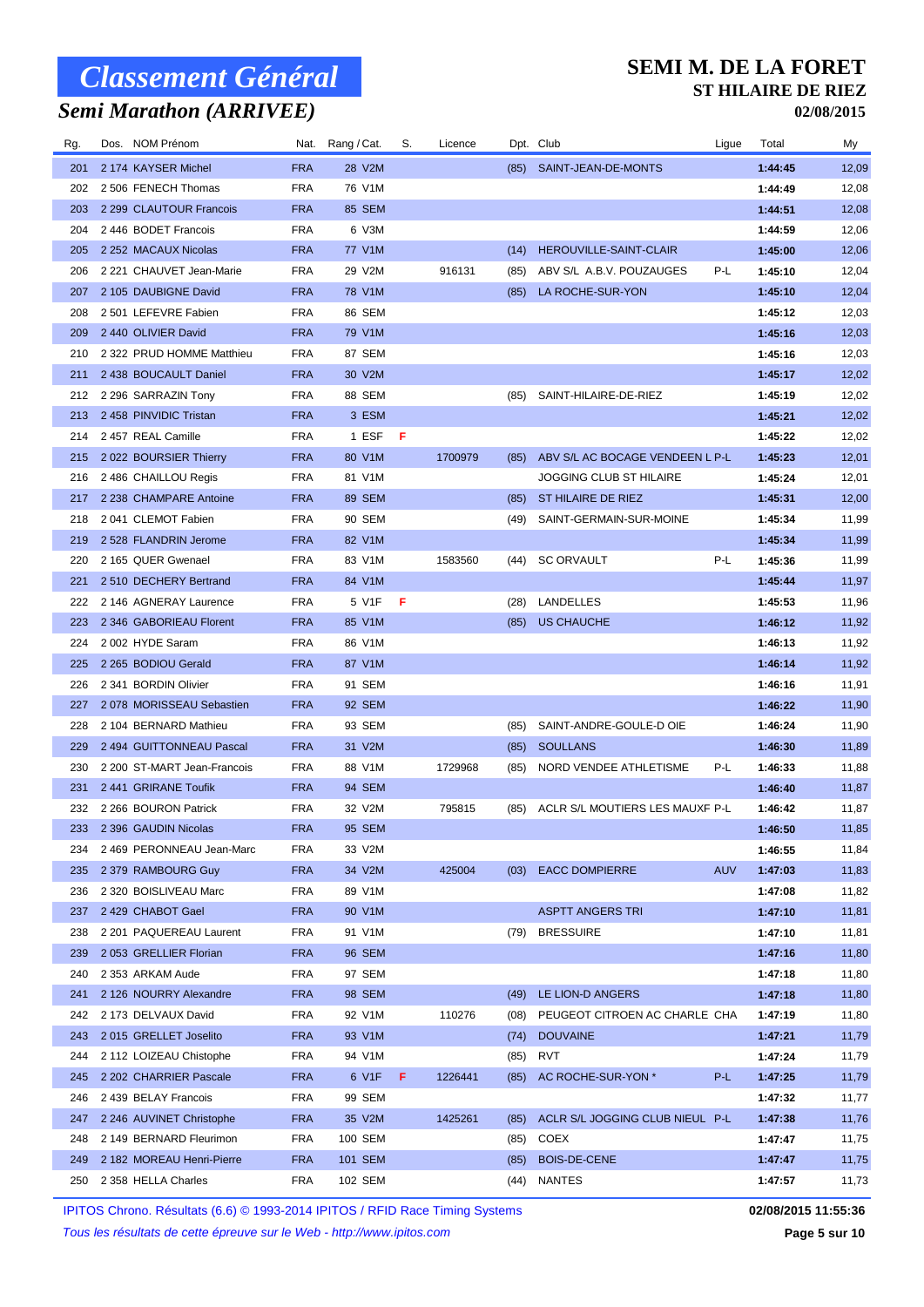## *Semi Marathon (ARRIVEE)*

#### **SEMI M. DE LA FORET ST HILAIRE DE RIEZ**

**02/08/2015**

| Rg. | Dos. NOM Prénom             | Nat.       | Rang / Cat.   |    | S. | Licence |      | Dpt. Club                       | Ligue      | Total   | My    |
|-----|-----------------------------|------------|---------------|----|----|---------|------|---------------------------------|------------|---------|-------|
| 201 | 2 174 KAYSER Michel         | <b>FRA</b> | 28 V2M        |    |    |         |      | (85) SAINT-JEAN-DE-MONTS        |            | 1:44:45 | 12,09 |
| 202 | 2 506 FENECH Thomas         | <b>FRA</b> | 76 V1M        |    |    |         |      |                                 |            | 1:44:49 | 12,08 |
| 203 | 2 299 CLAUTOUR Francois     | <b>FRA</b> | <b>85 SEM</b> |    |    |         |      |                                 |            | 1:44:51 | 12,08 |
| 204 | 2446 BODET Francois         | <b>FRA</b> | 6 V3M         |    |    |         |      |                                 |            | 1:44:59 | 12,06 |
| 205 | 2 252 MACAUX Nicolas        | <b>FRA</b> | 77 V1M        |    |    |         | (14) | HEROUVILLE-SAINT-CLAIR          |            | 1:45:00 | 12,06 |
| 206 | 2 221 CHAUVET Jean-Marie    | <b>FRA</b> | 29 V2M        |    |    | 916131  | (85) | ABV S/L A.B.V. POUZAUGES        | P-L        | 1:45:10 | 12,04 |
| 207 | 2 105 DAUBIGNE David        | <b>FRA</b> | 78 V1M        |    |    |         | (85) | LA ROCHE-SUR-YON                |            | 1:45:10 | 12,04 |
| 208 | 2 501 LEFEVRE Fabien        | <b>FRA</b> | 86 SEM        |    |    |         |      |                                 |            | 1:45:12 | 12,03 |
| 209 | 2 440 OLIVIER David         | <b>FRA</b> | 79 V1M        |    |    |         |      |                                 |            | 1:45:16 | 12,03 |
| 210 | 2 322 PRUD HOMME Matthieu   | <b>FRA</b> | 87 SEM        |    |    |         |      |                                 |            | 1:45:16 | 12,03 |
| 211 | 2438 BOUCAULT Daniel        | <b>FRA</b> | 30 V2M        |    |    |         |      |                                 |            | 1:45:17 | 12,02 |
| 212 | 2 296 SARRAZIN Tony         | <b>FRA</b> | 88 SEM        |    |    |         | (85) | SAINT-HILAIRE-DE-RIEZ           |            | 1:45:19 | 12,02 |
| 213 | 2458 PINVIDIC Tristan       | <b>FRA</b> | 3 ESM         |    |    |         |      |                                 |            | 1:45:21 | 12,02 |
| 214 | 2457 REAL Camille           | <b>FRA</b> | 1 ESF         | -F |    |         |      |                                 |            | 1:45:22 | 12,02 |
| 215 | 2022 BOURSIER Thierry       | <b>FRA</b> | 80 V1M        |    |    | 1700979 | (85) | ABV S/L AC BOCAGE VENDEEN L P-L |            | 1:45:23 | 12,01 |
| 216 | 2 486 CHAILLOU Regis        | <b>FRA</b> | 81 V1M        |    |    |         |      | JOGGING CLUB ST HILAIRE         |            | 1:45:24 | 12,01 |
| 217 | 2 238 CHAMPARE Antoine      | <b>FRA</b> | <b>89 SEM</b> |    |    |         | (85) | ST HILAIRE DE RIEZ              |            | 1:45:31 | 12,00 |
| 218 | 2041 CLEMOT Fabien          | <b>FRA</b> | 90 SEM        |    |    |         | (49) | SAINT-GERMAIN-SUR-MOINE         |            | 1:45:34 | 11,99 |
| 219 | 2 528 FLANDRIN Jerome       | <b>FRA</b> | 82 V1M        |    |    |         |      |                                 |            | 1:45:34 | 11,99 |
| 220 | 2 165 QUER Gwenael          | <b>FRA</b> | 83 V1M        |    |    | 1583560 | (44) | <b>SC ORVAULT</b>               | P-L        | 1:45:36 | 11,99 |
| 221 | 2510 DECHERY Bertrand       | <b>FRA</b> | 84 V1M        |    |    |         |      |                                 |            | 1:45:44 | 11,97 |
| 222 | 2 146 AGNERAY Laurence      | <b>FRA</b> | 5 V1F         | -F |    |         | (28) | <b>LANDELLES</b>                |            | 1:45:53 | 11,96 |
| 223 | 2 346 GABORIEAU Florent     | <b>FRA</b> | 85 V1M        |    |    |         | (85) | <b>US CHAUCHE</b>               |            | 1:46:12 | 11,92 |
| 224 | 2002 HYDE Saram             | <b>FRA</b> | 86 V1M        |    |    |         |      |                                 |            | 1:46:13 | 11,92 |
| 225 | 2 265 BODIOU Gerald         | <b>FRA</b> | 87 V1M        |    |    |         |      |                                 |            | 1:46:14 | 11,92 |
| 226 | 2 341 BORDIN Olivier        | <b>FRA</b> | 91 SEM        |    |    |         |      |                                 |            | 1:46:16 | 11,91 |
| 227 | 2078 MORISSEAU Sebastien    | <b>FRA</b> | 92 SEM        |    |    |         |      |                                 |            | 1:46:22 | 11,90 |
| 228 | 2 104 BERNARD Mathieu       | <b>FRA</b> | 93 SEM        |    |    |         | (85) | SAINT-ANDRE-GOULE-D OIE         |            | 1:46:24 | 11,90 |
| 229 | 2494 GUITTONNEAU Pascal     | <b>FRA</b> | 31 V2M        |    |    |         | (85) | <b>SOULLANS</b>                 |            | 1:46:30 | 11,89 |
| 230 | 2 200 ST-MART Jean-Francois | <b>FRA</b> | 88 V1M        |    |    | 1729968 | (85) | NORD VENDEE ATHLETISME          | P-L        | 1:46:33 | 11,88 |
| 231 | 2441 GRIRANE Toufik         | <b>FRA</b> | 94 SEM        |    |    |         |      |                                 |            | 1:46:40 | 11,87 |
| 232 | 2 266 BOURON Patrick        | <b>FRA</b> | 32 V2M        |    |    | 795815  | (85) | ACLR S/L MOUTIERS LES MAUXF P-L |            | 1:46:42 | 11,87 |
| 233 | 2 396 GAUDIN Nicolas        | <b>FRA</b> | 95 SEM        |    |    |         |      |                                 |            | 1:46:50 | 11,85 |
| 234 | 2 469 PERONNEAU Jean-Marc   | <b>FRA</b> | 33 V2M        |    |    |         |      |                                 |            | 1:46:55 | 11,84 |
| 235 | 2 379 RAMBOURG Guy          | <b>FRA</b> | 34 V2M        |    |    | 425004  | (03) | <b>EACC DOMPIERRE</b>           | <b>AUV</b> | 1:47:03 | 11,83 |
| 236 | 2 320 BOISLIVEAU Marc       | <b>FRA</b> | 89 V1M        |    |    |         |      |                                 |            | 1:47:08 | 11,82 |
| 237 | 2 429 CHABOT Gael           | <b>FRA</b> | 90 V1M        |    |    |         |      | <b>ASPTT ANGERS TRI</b>         |            | 1:47:10 | 11,81 |
| 238 | 2 201 PAQUEREAU Laurent     | <b>FRA</b> | 91 V1M        |    |    |         | (79) | <b>BRESSUIRE</b>                |            | 1:47:10 | 11,81 |
| 239 | 2053 GRELLIER Florian       | <b>FRA</b> | 96 SEM        |    |    |         |      |                                 |            | 1:47:16 | 11,80 |
| 240 | 2 353 ARKAM Aude            | <b>FRA</b> | 97 SEM        |    |    |         |      |                                 |            | 1:47:18 | 11,80 |
| 241 | 2 126 NOURRY Alexandre      | <b>FRA</b> | <b>98 SEM</b> |    |    |         | (49) | LE LION-D ANGERS                |            | 1:47:18 | 11,80 |
| 242 | 2 173 DELVAUX David         | <b>FRA</b> | 92 V1M        |    |    | 110276  | (08) | PEUGEOT CITROEN AC CHARLE CHA   |            | 1:47:19 | 11,80 |
| 243 | 2015 GRELLET Joselito       | <b>FRA</b> | 93 V1M        |    |    |         | (74) | <b>DOUVAINE</b>                 |            | 1:47:21 | 11,79 |
| 244 | 2 112 LOIZEAU Chistophe     | <b>FRA</b> | 94 V1M        |    |    |         | (85) | <b>RVT</b>                      |            | 1:47:24 | 11,79 |
| 245 | 2 202 CHARRIER Pascale      | <b>FRA</b> | 6 V1F         |    | F. | 1226441 | (85) | AC ROCHE-SUR-YON *              | P-L        | 1:47:25 | 11,79 |
| 246 | 2439 BELAY Francois         | <b>FRA</b> | 99 SEM        |    |    |         |      |                                 |            | 1:47:32 | 11,77 |
| 247 | 2 246 AUVINET Christophe    | <b>FRA</b> | 35 V2M        |    |    | 1425261 | (85) | ACLR S/L JOGGING CLUB NIEUL P-L |            | 1:47:38 | 11,76 |
| 248 | 2 149 BERNARD Fleurimon     | <b>FRA</b> | 100 SEM       |    |    |         | (85) | COEX                            |            | 1:47:47 | 11,75 |
| 249 | 2 182 MOREAU Henri-Pierre   | <b>FRA</b> | 101 SEM       |    |    |         | (85) | <b>BOIS-DE-CENE</b>             |            | 1:47:47 | 11,75 |
| 250 | 2 358 HELLA Charles         | <b>FRA</b> | 102 SEM       |    |    |         | (44) | <b>NANTES</b>                   |            | 1:47:57 | 11,73 |
|     |                             |            |               |    |    |         |      |                                 |            |         |       |

IPITOS Chrono. Résultats (6.6) © 1993-2014 IPITOS / RFID Race Timing Systems **02/08/2015 11:55:36**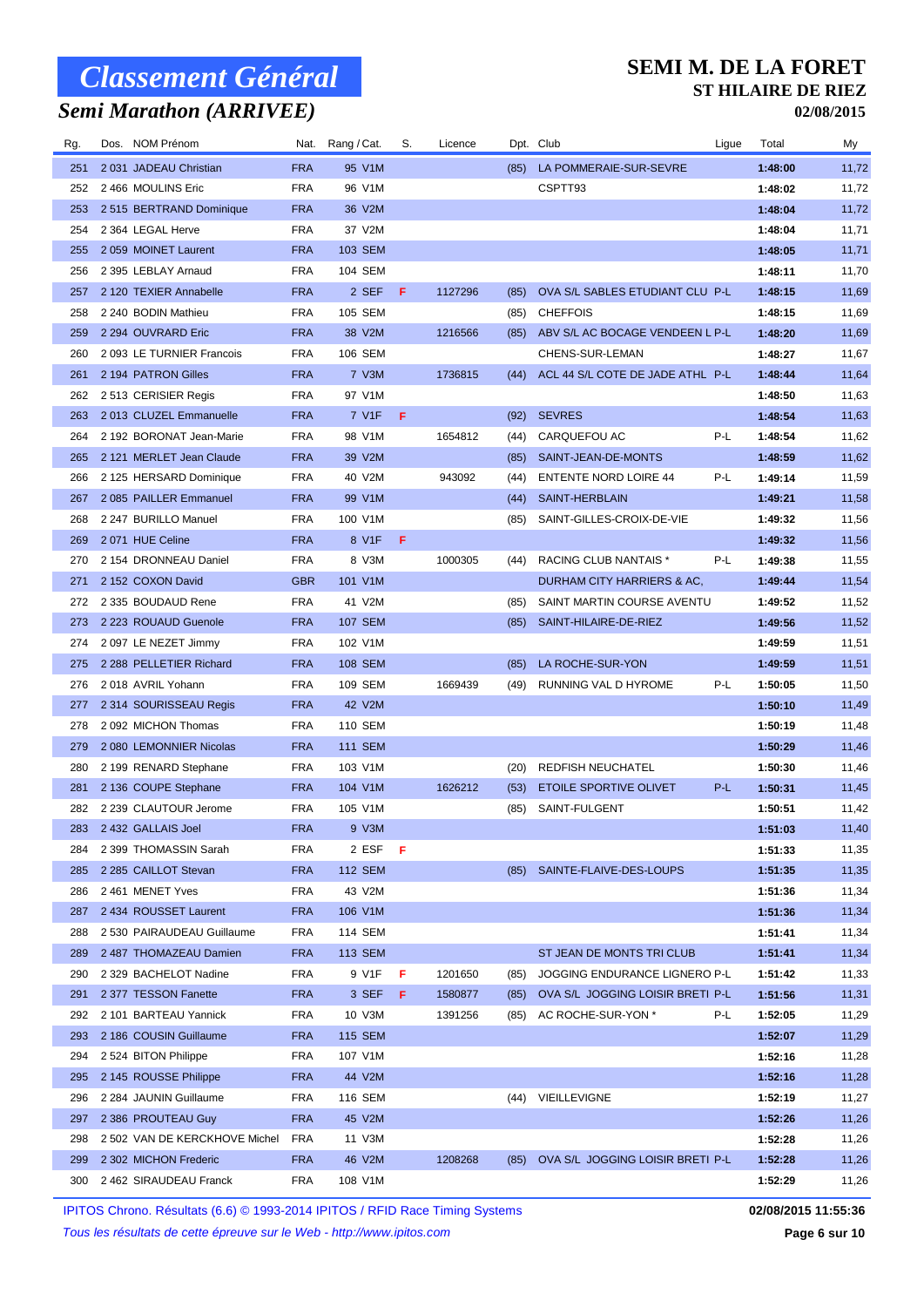## *Semi Marathon (ARRIVEE)*

#### **SEMI M. DE LA FORET ST HILAIRE DE RIEZ**

**02/08/2015**

| 2 031 JADEAU Christian<br><b>FRA</b><br>95 V1M<br>1:48:00<br>251<br>(85)<br>LA POMMERAIE-SUR-SEVRE<br>11,72<br>2466 MOULINS Eric<br><b>FRA</b><br>96 V1M<br>CSPTT93<br>1:48:02<br>11,72<br>252<br>2 515 BERTRAND Dominique<br><b>FRA</b><br>36 V2M<br>11,72<br>253<br>1:48:04<br>254<br>2 364 LEGAL Herve<br><b>FRA</b><br>37 V2M<br>1:48:04<br>11,71<br>2059 MOINET Laurent<br><b>FRA</b><br>103 SEM<br>1:48:05<br>11,71<br>255<br>2 395 LEBLAY Arnaud<br><b>FRA</b><br>104 SEM<br>1:48:11<br>11,70<br>256<br>2 120 TEXIER Annabelle<br><b>FRA</b><br>2 SEF<br>F<br>OVA S/L SABLES ETUDIANT CLU P-L<br>257<br>1127296<br>1:48:15<br>11,69<br>(85)<br>2 240 BODIN Mathieu<br><b>FRA</b><br>105 SEM<br><b>CHEFFOIS</b><br>1:48:15<br>11,69<br>258<br>(85)<br>259<br>2 294 OUVRARD Eric<br><b>FRA</b><br>38 V2M<br>1216566<br>ABV S/L AC BOCAGE VENDEEN L P-L<br>11,69<br>(85)<br>1:48:20<br>260<br>2 093 LE TURNIER Francois<br><b>FRA</b><br>106 SEM<br>CHENS-SUR-LEMAN<br>11,67<br>1:48:27<br><b>FRA</b><br>7 V3M<br>ACL 44 S/L COTE DE JADE ATHL P-L<br>261<br>2 194 PATRON Gilles<br>1736815<br>(44)<br>1:48:44<br>11,64<br>2513 CERISIER Regis<br><b>FRA</b><br>97 V1M<br>1:48:50<br>11,63<br>262<br>2013 CLUZEL Emmanuelle<br><b>FRA</b><br>7 V1F<br>F<br><b>SEVRES</b><br>1:48:54<br>11,63<br>263<br>(92)<br>2 192 BORONAT Jean-Marie<br><b>FRA</b><br>98 V1M<br>CARQUEFOU AC<br>P-L<br>1:48:54<br>11,62<br>264<br>1654812<br>(44)<br>2 121 MERLET Jean Claude<br><b>FRA</b><br>39 V2M<br>SAINT-JEAN-DE-MONTS<br>11,62<br>265<br>1:48:59<br>(85)<br>266<br>2 125 HERSARD Dominique<br><b>FRA</b><br>40 V2M<br>943092<br><b>ENTENTE NORD LOIRE 44</b><br>P-L<br>11,59<br>1:49:14<br>(44)<br><b>FRA</b><br>2085 PAILLER Emmanuel<br>99 V1M<br>SAINT-HERBLAIN<br>1:49:21<br>11,58<br>267<br>(44)<br>268<br>2 247 BURILLO Manuel<br><b>FRA</b><br>100 V1M<br>SAINT-GILLES-CROIX-DE-VIE<br>1:49:32<br>11,56<br>(85)<br>269<br>2071 HUE Celine<br><b>FRA</b><br>8 V1F<br>F<br>11,56<br>1:49:32<br>RACING CLUB NANTAIS *<br>11,55<br>270<br>2154 DRONNEAU Daniel<br><b>FRA</b><br>8 V3M<br>1000305<br>P-L<br>1:49:38<br>(44)<br>2 152 COXON David<br><b>GBR</b><br>101 V1M<br>DURHAM CITY HARRIERS & AC,<br>1:49:44<br>11,54<br>271<br>2 335 BOUDAUD Rene<br>FRA<br>41 V2M<br>SAINT MARTIN COURSE AVENTU<br>1:49:52<br>11,52<br>272<br>(85)<br>2 223 ROUAUD Guenole<br><b>FRA</b><br><b>107 SEM</b><br>SAINT-HILAIRE-DE-RIEZ<br>11,52<br>273<br>(85)<br>1:49:56<br><b>FRA</b><br>102 V1M<br>11,51<br>274<br>2097 LE NEZET Jimmy<br>1:49:59<br>2 288 PELLETIER Richard<br><b>FRA</b><br>108 SEM<br>LA ROCHE-SUR-YON<br>1:49:59<br>275<br>(85)<br>11,51<br>2018 AVRIL Yohann<br><b>FRA</b><br>109 SEM<br>P-L<br>1:50:05<br>11,50<br>276<br>1669439<br>RUNNING VAL D HYROME<br>(49)<br>2 314 SOURISSEAU Regis<br><b>FRA</b><br>42 V2M<br>11,49<br>277<br>1:50:10<br><b>FRA</b><br>110 SEM<br>278<br>2092 MICHON Thomas<br>1:50:19<br>11,48<br><b>FRA</b><br><b>111 SEM</b><br>1:50:29<br>11,46<br>279<br>2 080 LEMONNIER Nicolas<br>2 199 RENARD Stephane<br><b>FRA</b><br>103 V1M<br><b>REDFISH NEUCHATEL</b><br>1:50:30<br>11,46<br>280<br>(20)<br>1626212<br>P-L<br>2 136 COUPE Stephane<br><b>FRA</b><br>104 V1M<br>ETOILE SPORTIVE OLIVET<br>1:50:31<br>11,45<br>281<br>(53)<br><b>FRA</b><br>SAINT-FULGENT<br>11,42<br>282<br>2 239 CLAUTOUR Jerome<br>105 V1M<br>1:50:51<br>(85)<br>283 2 432 GALLAIS Joel<br><b>FRA</b><br>9 V3M<br>1:51:03<br>11,40<br><b>FRA</b><br>2 ESF<br>-F<br>1:51:33<br>2 399 THOMASSIN Sarah<br>11,35<br>284<br>2 285 CAILLOT Stevan<br><b>FRA</b><br><b>112 SEM</b><br>(85) SAINTE-FLAIVE-DES-LOUPS<br>1:51:35<br>11,35<br>285<br>2461 MENET Yves<br>FRA<br>43 V2M<br>11,34<br>286<br>1:51:36<br>2 434 ROUSSET Laurent<br><b>FRA</b><br>106 V1M<br>1:51:36<br>11,34<br>287<br>11,34<br>288<br>2 530 PAIRAUDEAU Guillaume<br>FRA<br>114 SEM<br>1:51:41<br><b>FRA</b><br>ST JEAN DE MONTS TRI CLUB<br>1:51:41<br>11,34<br>289<br>2 487 THOMAZEAU Damien<br><b>113 SEM</b><br><b>FRA</b><br>11,33<br>290<br>2 329 BACHELOT Nadine<br>9 V1F<br>F<br>1201650<br>JOGGING ENDURANCE LIGNERO P-L<br>1:51:42<br>(85)<br>2 377 TESSON Fanette<br><b>FRA</b><br>3 SEF<br>F<br>1:51:56<br>11,31<br>291<br>1580877<br>OVA S/L JOGGING LOISIR BRETI P-L<br>(85)<br>10 V3M<br>11,29<br>292<br>2 101 BARTEAU Yannick<br>FRA<br>1391256<br>AC ROCHE-SUR-YON *<br>P-L<br>1:52:05<br>(85)<br>1:52:07<br>293<br>2 186 COUSIN Guillaume<br><b>FRA</b><br>115 SEM<br>11,29<br>294<br>2 524 BITON Philippe<br>FRA<br>107 V1M<br>1:52:16<br>11,28<br><b>FRA</b><br>44 V2M<br>1:52:16<br>11,28<br>295<br>2 145 ROUSSE Philippe<br>296<br><b>FRA</b><br>116 SEM<br>VIEILLEVIGNE<br>11,27<br>2 284 JAUNIN Guillaume<br>(44)<br>1:52:19<br>2 386 PROUTEAU Guy<br><b>FRA</b><br>45 V2M<br>1:52:26<br>11,26<br>297<br>2 502 VAN DE KERCKHOVE Michel<br><b>FRA</b><br>11 V3M<br>11,26<br>298<br>1:52:28<br>1:52:28<br>299<br>2 302 MICHON Frederic<br><b>FRA</b><br>46 V2M<br>1208268<br>OVA S/L JOGGING LOISIR BRETI P-L<br>11,26<br>(85)<br>2 462 SIRAUDEAU Franck<br>FRA<br>108 V1M<br>11,26<br>300<br>1:52:29 | Rg. | Dos. NOM Prénom | Nat. Rang/Cat. | S. | Licence | Dpt. Club | Ligue | Total | My |
|------------------------------------------------------------------------------------------------------------------------------------------------------------------------------------------------------------------------------------------------------------------------------------------------------------------------------------------------------------------------------------------------------------------------------------------------------------------------------------------------------------------------------------------------------------------------------------------------------------------------------------------------------------------------------------------------------------------------------------------------------------------------------------------------------------------------------------------------------------------------------------------------------------------------------------------------------------------------------------------------------------------------------------------------------------------------------------------------------------------------------------------------------------------------------------------------------------------------------------------------------------------------------------------------------------------------------------------------------------------------------------------------------------------------------------------------------------------------------------------------------------------------------------------------------------------------------------------------------------------------------------------------------------------------------------------------------------------------------------------------------------------------------------------------------------------------------------------------------------------------------------------------------------------------------------------------------------------------------------------------------------------------------------------------------------------------------------------------------------------------------------------------------------------------------------------------------------------------------------------------------------------------------------------------------------------------------------------------------------------------------------------------------------------------------------------------------------------------------------------------------------------------------------------------------------------------------------------------------------------------------------------------------------------------------------------------------------------------------------------------------------------------------------------------------------------------------------------------------------------------------------------------------------------------------------------------------------------------------------------------------------------------------------------------------------------------------------------------------------------------------------------------------------------------------------------------------------------------------------------------------------------------------------------------------------------------------------------------------------------------------------------------------------------------------------------------------------------------------------------------------------------------------------------------------------------------------------------------------------------------------------------------------------------------------------------------------------------------------------------------------------------------------------------------------------------------------------------------------------------------------------------------------------------------------------------------------------------------------------------------------------------------------------------------------------------------------------------------------------------------------------------------------------------------------------------------------------------------------------------------------------------------------------------------------------------------------------------------------------------------------------------------------------------------------------------------------------------------------------------------------------------------------------------------------------------------------------------------------------------------------------------------------------------------------------------------------------------------------------------------------------------------------------------------------------------------------------------------------------------------------------------------------------------------------------------------------------------------------------------------------------------------------------------------------------------------------------------------------------------|-----|-----------------|----------------|----|---------|-----------|-------|-------|----|
|                                                                                                                                                                                                                                                                                                                                                                                                                                                                                                                                                                                                                                                                                                                                                                                                                                                                                                                                                                                                                                                                                                                                                                                                                                                                                                                                                                                                                                                                                                                                                                                                                                                                                                                                                                                                                                                                                                                                                                                                                                                                                                                                                                                                                                                                                                                                                                                                                                                                                                                                                                                                                                                                                                                                                                                                                                                                                                                                                                                                                                                                                                                                                                                                                                                                                                                                                                                                                                                                                                                                                                                                                                                                                                                                                                                                                                                                                                                                                                                                                                                                                                                                                                                                                                                                                                                                                                                                                                                                                                                                                                                                                                                                                                                                                                                                                                                                                                                                                                                                                                                                                                                  |     |                 |                |    |         |           |       |       |    |
|                                                                                                                                                                                                                                                                                                                                                                                                                                                                                                                                                                                                                                                                                                                                                                                                                                                                                                                                                                                                                                                                                                                                                                                                                                                                                                                                                                                                                                                                                                                                                                                                                                                                                                                                                                                                                                                                                                                                                                                                                                                                                                                                                                                                                                                                                                                                                                                                                                                                                                                                                                                                                                                                                                                                                                                                                                                                                                                                                                                                                                                                                                                                                                                                                                                                                                                                                                                                                                                                                                                                                                                                                                                                                                                                                                                                                                                                                                                                                                                                                                                                                                                                                                                                                                                                                                                                                                                                                                                                                                                                                                                                                                                                                                                                                                                                                                                                                                                                                                                                                                                                                                                  |     |                 |                |    |         |           |       |       |    |
|                                                                                                                                                                                                                                                                                                                                                                                                                                                                                                                                                                                                                                                                                                                                                                                                                                                                                                                                                                                                                                                                                                                                                                                                                                                                                                                                                                                                                                                                                                                                                                                                                                                                                                                                                                                                                                                                                                                                                                                                                                                                                                                                                                                                                                                                                                                                                                                                                                                                                                                                                                                                                                                                                                                                                                                                                                                                                                                                                                                                                                                                                                                                                                                                                                                                                                                                                                                                                                                                                                                                                                                                                                                                                                                                                                                                                                                                                                                                                                                                                                                                                                                                                                                                                                                                                                                                                                                                                                                                                                                                                                                                                                                                                                                                                                                                                                                                                                                                                                                                                                                                                                                  |     |                 |                |    |         |           |       |       |    |
|                                                                                                                                                                                                                                                                                                                                                                                                                                                                                                                                                                                                                                                                                                                                                                                                                                                                                                                                                                                                                                                                                                                                                                                                                                                                                                                                                                                                                                                                                                                                                                                                                                                                                                                                                                                                                                                                                                                                                                                                                                                                                                                                                                                                                                                                                                                                                                                                                                                                                                                                                                                                                                                                                                                                                                                                                                                                                                                                                                                                                                                                                                                                                                                                                                                                                                                                                                                                                                                                                                                                                                                                                                                                                                                                                                                                                                                                                                                                                                                                                                                                                                                                                                                                                                                                                                                                                                                                                                                                                                                                                                                                                                                                                                                                                                                                                                                                                                                                                                                                                                                                                                                  |     |                 |                |    |         |           |       |       |    |
|                                                                                                                                                                                                                                                                                                                                                                                                                                                                                                                                                                                                                                                                                                                                                                                                                                                                                                                                                                                                                                                                                                                                                                                                                                                                                                                                                                                                                                                                                                                                                                                                                                                                                                                                                                                                                                                                                                                                                                                                                                                                                                                                                                                                                                                                                                                                                                                                                                                                                                                                                                                                                                                                                                                                                                                                                                                                                                                                                                                                                                                                                                                                                                                                                                                                                                                                                                                                                                                                                                                                                                                                                                                                                                                                                                                                                                                                                                                                                                                                                                                                                                                                                                                                                                                                                                                                                                                                                                                                                                                                                                                                                                                                                                                                                                                                                                                                                                                                                                                                                                                                                                                  |     |                 |                |    |         |           |       |       |    |
|                                                                                                                                                                                                                                                                                                                                                                                                                                                                                                                                                                                                                                                                                                                                                                                                                                                                                                                                                                                                                                                                                                                                                                                                                                                                                                                                                                                                                                                                                                                                                                                                                                                                                                                                                                                                                                                                                                                                                                                                                                                                                                                                                                                                                                                                                                                                                                                                                                                                                                                                                                                                                                                                                                                                                                                                                                                                                                                                                                                                                                                                                                                                                                                                                                                                                                                                                                                                                                                                                                                                                                                                                                                                                                                                                                                                                                                                                                                                                                                                                                                                                                                                                                                                                                                                                                                                                                                                                                                                                                                                                                                                                                                                                                                                                                                                                                                                                                                                                                                                                                                                                                                  |     |                 |                |    |         |           |       |       |    |
|                                                                                                                                                                                                                                                                                                                                                                                                                                                                                                                                                                                                                                                                                                                                                                                                                                                                                                                                                                                                                                                                                                                                                                                                                                                                                                                                                                                                                                                                                                                                                                                                                                                                                                                                                                                                                                                                                                                                                                                                                                                                                                                                                                                                                                                                                                                                                                                                                                                                                                                                                                                                                                                                                                                                                                                                                                                                                                                                                                                                                                                                                                                                                                                                                                                                                                                                                                                                                                                                                                                                                                                                                                                                                                                                                                                                                                                                                                                                                                                                                                                                                                                                                                                                                                                                                                                                                                                                                                                                                                                                                                                                                                                                                                                                                                                                                                                                                                                                                                                                                                                                                                                  |     |                 |                |    |         |           |       |       |    |
|                                                                                                                                                                                                                                                                                                                                                                                                                                                                                                                                                                                                                                                                                                                                                                                                                                                                                                                                                                                                                                                                                                                                                                                                                                                                                                                                                                                                                                                                                                                                                                                                                                                                                                                                                                                                                                                                                                                                                                                                                                                                                                                                                                                                                                                                                                                                                                                                                                                                                                                                                                                                                                                                                                                                                                                                                                                                                                                                                                                                                                                                                                                                                                                                                                                                                                                                                                                                                                                                                                                                                                                                                                                                                                                                                                                                                                                                                                                                                                                                                                                                                                                                                                                                                                                                                                                                                                                                                                                                                                                                                                                                                                                                                                                                                                                                                                                                                                                                                                                                                                                                                                                  |     |                 |                |    |         |           |       |       |    |
|                                                                                                                                                                                                                                                                                                                                                                                                                                                                                                                                                                                                                                                                                                                                                                                                                                                                                                                                                                                                                                                                                                                                                                                                                                                                                                                                                                                                                                                                                                                                                                                                                                                                                                                                                                                                                                                                                                                                                                                                                                                                                                                                                                                                                                                                                                                                                                                                                                                                                                                                                                                                                                                                                                                                                                                                                                                                                                                                                                                                                                                                                                                                                                                                                                                                                                                                                                                                                                                                                                                                                                                                                                                                                                                                                                                                                                                                                                                                                                                                                                                                                                                                                                                                                                                                                                                                                                                                                                                                                                                                                                                                                                                                                                                                                                                                                                                                                                                                                                                                                                                                                                                  |     |                 |                |    |         |           |       |       |    |
|                                                                                                                                                                                                                                                                                                                                                                                                                                                                                                                                                                                                                                                                                                                                                                                                                                                                                                                                                                                                                                                                                                                                                                                                                                                                                                                                                                                                                                                                                                                                                                                                                                                                                                                                                                                                                                                                                                                                                                                                                                                                                                                                                                                                                                                                                                                                                                                                                                                                                                                                                                                                                                                                                                                                                                                                                                                                                                                                                                                                                                                                                                                                                                                                                                                                                                                                                                                                                                                                                                                                                                                                                                                                                                                                                                                                                                                                                                                                                                                                                                                                                                                                                                                                                                                                                                                                                                                                                                                                                                                                                                                                                                                                                                                                                                                                                                                                                                                                                                                                                                                                                                                  |     |                 |                |    |         |           |       |       |    |
|                                                                                                                                                                                                                                                                                                                                                                                                                                                                                                                                                                                                                                                                                                                                                                                                                                                                                                                                                                                                                                                                                                                                                                                                                                                                                                                                                                                                                                                                                                                                                                                                                                                                                                                                                                                                                                                                                                                                                                                                                                                                                                                                                                                                                                                                                                                                                                                                                                                                                                                                                                                                                                                                                                                                                                                                                                                                                                                                                                                                                                                                                                                                                                                                                                                                                                                                                                                                                                                                                                                                                                                                                                                                                                                                                                                                                                                                                                                                                                                                                                                                                                                                                                                                                                                                                                                                                                                                                                                                                                                                                                                                                                                                                                                                                                                                                                                                                                                                                                                                                                                                                                                  |     |                 |                |    |         |           |       |       |    |
|                                                                                                                                                                                                                                                                                                                                                                                                                                                                                                                                                                                                                                                                                                                                                                                                                                                                                                                                                                                                                                                                                                                                                                                                                                                                                                                                                                                                                                                                                                                                                                                                                                                                                                                                                                                                                                                                                                                                                                                                                                                                                                                                                                                                                                                                                                                                                                                                                                                                                                                                                                                                                                                                                                                                                                                                                                                                                                                                                                                                                                                                                                                                                                                                                                                                                                                                                                                                                                                                                                                                                                                                                                                                                                                                                                                                                                                                                                                                                                                                                                                                                                                                                                                                                                                                                                                                                                                                                                                                                                                                                                                                                                                                                                                                                                                                                                                                                                                                                                                                                                                                                                                  |     |                 |                |    |         |           |       |       |    |
|                                                                                                                                                                                                                                                                                                                                                                                                                                                                                                                                                                                                                                                                                                                                                                                                                                                                                                                                                                                                                                                                                                                                                                                                                                                                                                                                                                                                                                                                                                                                                                                                                                                                                                                                                                                                                                                                                                                                                                                                                                                                                                                                                                                                                                                                                                                                                                                                                                                                                                                                                                                                                                                                                                                                                                                                                                                                                                                                                                                                                                                                                                                                                                                                                                                                                                                                                                                                                                                                                                                                                                                                                                                                                                                                                                                                                                                                                                                                                                                                                                                                                                                                                                                                                                                                                                                                                                                                                                                                                                                                                                                                                                                                                                                                                                                                                                                                                                                                                                                                                                                                                                                  |     |                 |                |    |         |           |       |       |    |
|                                                                                                                                                                                                                                                                                                                                                                                                                                                                                                                                                                                                                                                                                                                                                                                                                                                                                                                                                                                                                                                                                                                                                                                                                                                                                                                                                                                                                                                                                                                                                                                                                                                                                                                                                                                                                                                                                                                                                                                                                                                                                                                                                                                                                                                                                                                                                                                                                                                                                                                                                                                                                                                                                                                                                                                                                                                                                                                                                                                                                                                                                                                                                                                                                                                                                                                                                                                                                                                                                                                                                                                                                                                                                                                                                                                                                                                                                                                                                                                                                                                                                                                                                                                                                                                                                                                                                                                                                                                                                                                                                                                                                                                                                                                                                                                                                                                                                                                                                                                                                                                                                                                  |     |                 |                |    |         |           |       |       |    |
|                                                                                                                                                                                                                                                                                                                                                                                                                                                                                                                                                                                                                                                                                                                                                                                                                                                                                                                                                                                                                                                                                                                                                                                                                                                                                                                                                                                                                                                                                                                                                                                                                                                                                                                                                                                                                                                                                                                                                                                                                                                                                                                                                                                                                                                                                                                                                                                                                                                                                                                                                                                                                                                                                                                                                                                                                                                                                                                                                                                                                                                                                                                                                                                                                                                                                                                                                                                                                                                                                                                                                                                                                                                                                                                                                                                                                                                                                                                                                                                                                                                                                                                                                                                                                                                                                                                                                                                                                                                                                                                                                                                                                                                                                                                                                                                                                                                                                                                                                                                                                                                                                                                  |     |                 |                |    |         |           |       |       |    |
|                                                                                                                                                                                                                                                                                                                                                                                                                                                                                                                                                                                                                                                                                                                                                                                                                                                                                                                                                                                                                                                                                                                                                                                                                                                                                                                                                                                                                                                                                                                                                                                                                                                                                                                                                                                                                                                                                                                                                                                                                                                                                                                                                                                                                                                                                                                                                                                                                                                                                                                                                                                                                                                                                                                                                                                                                                                                                                                                                                                                                                                                                                                                                                                                                                                                                                                                                                                                                                                                                                                                                                                                                                                                                                                                                                                                                                                                                                                                                                                                                                                                                                                                                                                                                                                                                                                                                                                                                                                                                                                                                                                                                                                                                                                                                                                                                                                                                                                                                                                                                                                                                                                  |     |                 |                |    |         |           |       |       |    |
|                                                                                                                                                                                                                                                                                                                                                                                                                                                                                                                                                                                                                                                                                                                                                                                                                                                                                                                                                                                                                                                                                                                                                                                                                                                                                                                                                                                                                                                                                                                                                                                                                                                                                                                                                                                                                                                                                                                                                                                                                                                                                                                                                                                                                                                                                                                                                                                                                                                                                                                                                                                                                                                                                                                                                                                                                                                                                                                                                                                                                                                                                                                                                                                                                                                                                                                                                                                                                                                                                                                                                                                                                                                                                                                                                                                                                                                                                                                                                                                                                                                                                                                                                                                                                                                                                                                                                                                                                                                                                                                                                                                                                                                                                                                                                                                                                                                                                                                                                                                                                                                                                                                  |     |                 |                |    |         |           |       |       |    |
|                                                                                                                                                                                                                                                                                                                                                                                                                                                                                                                                                                                                                                                                                                                                                                                                                                                                                                                                                                                                                                                                                                                                                                                                                                                                                                                                                                                                                                                                                                                                                                                                                                                                                                                                                                                                                                                                                                                                                                                                                                                                                                                                                                                                                                                                                                                                                                                                                                                                                                                                                                                                                                                                                                                                                                                                                                                                                                                                                                                                                                                                                                                                                                                                                                                                                                                                                                                                                                                                                                                                                                                                                                                                                                                                                                                                                                                                                                                                                                                                                                                                                                                                                                                                                                                                                                                                                                                                                                                                                                                                                                                                                                                                                                                                                                                                                                                                                                                                                                                                                                                                                                                  |     |                 |                |    |         |           |       |       |    |
|                                                                                                                                                                                                                                                                                                                                                                                                                                                                                                                                                                                                                                                                                                                                                                                                                                                                                                                                                                                                                                                                                                                                                                                                                                                                                                                                                                                                                                                                                                                                                                                                                                                                                                                                                                                                                                                                                                                                                                                                                                                                                                                                                                                                                                                                                                                                                                                                                                                                                                                                                                                                                                                                                                                                                                                                                                                                                                                                                                                                                                                                                                                                                                                                                                                                                                                                                                                                                                                                                                                                                                                                                                                                                                                                                                                                                                                                                                                                                                                                                                                                                                                                                                                                                                                                                                                                                                                                                                                                                                                                                                                                                                                                                                                                                                                                                                                                                                                                                                                                                                                                                                                  |     |                 |                |    |         |           |       |       |    |
|                                                                                                                                                                                                                                                                                                                                                                                                                                                                                                                                                                                                                                                                                                                                                                                                                                                                                                                                                                                                                                                                                                                                                                                                                                                                                                                                                                                                                                                                                                                                                                                                                                                                                                                                                                                                                                                                                                                                                                                                                                                                                                                                                                                                                                                                                                                                                                                                                                                                                                                                                                                                                                                                                                                                                                                                                                                                                                                                                                                                                                                                                                                                                                                                                                                                                                                                                                                                                                                                                                                                                                                                                                                                                                                                                                                                                                                                                                                                                                                                                                                                                                                                                                                                                                                                                                                                                                                                                                                                                                                                                                                                                                                                                                                                                                                                                                                                                                                                                                                                                                                                                                                  |     |                 |                |    |         |           |       |       |    |
|                                                                                                                                                                                                                                                                                                                                                                                                                                                                                                                                                                                                                                                                                                                                                                                                                                                                                                                                                                                                                                                                                                                                                                                                                                                                                                                                                                                                                                                                                                                                                                                                                                                                                                                                                                                                                                                                                                                                                                                                                                                                                                                                                                                                                                                                                                                                                                                                                                                                                                                                                                                                                                                                                                                                                                                                                                                                                                                                                                                                                                                                                                                                                                                                                                                                                                                                                                                                                                                                                                                                                                                                                                                                                                                                                                                                                                                                                                                                                                                                                                                                                                                                                                                                                                                                                                                                                                                                                                                                                                                                                                                                                                                                                                                                                                                                                                                                                                                                                                                                                                                                                                                  |     |                 |                |    |         |           |       |       |    |
|                                                                                                                                                                                                                                                                                                                                                                                                                                                                                                                                                                                                                                                                                                                                                                                                                                                                                                                                                                                                                                                                                                                                                                                                                                                                                                                                                                                                                                                                                                                                                                                                                                                                                                                                                                                                                                                                                                                                                                                                                                                                                                                                                                                                                                                                                                                                                                                                                                                                                                                                                                                                                                                                                                                                                                                                                                                                                                                                                                                                                                                                                                                                                                                                                                                                                                                                                                                                                                                                                                                                                                                                                                                                                                                                                                                                                                                                                                                                                                                                                                                                                                                                                                                                                                                                                                                                                                                                                                                                                                                                                                                                                                                                                                                                                                                                                                                                                                                                                                                                                                                                                                                  |     |                 |                |    |         |           |       |       |    |
|                                                                                                                                                                                                                                                                                                                                                                                                                                                                                                                                                                                                                                                                                                                                                                                                                                                                                                                                                                                                                                                                                                                                                                                                                                                                                                                                                                                                                                                                                                                                                                                                                                                                                                                                                                                                                                                                                                                                                                                                                                                                                                                                                                                                                                                                                                                                                                                                                                                                                                                                                                                                                                                                                                                                                                                                                                                                                                                                                                                                                                                                                                                                                                                                                                                                                                                                                                                                                                                                                                                                                                                                                                                                                                                                                                                                                                                                                                                                                                                                                                                                                                                                                                                                                                                                                                                                                                                                                                                                                                                                                                                                                                                                                                                                                                                                                                                                                                                                                                                                                                                                                                                  |     |                 |                |    |         |           |       |       |    |
|                                                                                                                                                                                                                                                                                                                                                                                                                                                                                                                                                                                                                                                                                                                                                                                                                                                                                                                                                                                                                                                                                                                                                                                                                                                                                                                                                                                                                                                                                                                                                                                                                                                                                                                                                                                                                                                                                                                                                                                                                                                                                                                                                                                                                                                                                                                                                                                                                                                                                                                                                                                                                                                                                                                                                                                                                                                                                                                                                                                                                                                                                                                                                                                                                                                                                                                                                                                                                                                                                                                                                                                                                                                                                                                                                                                                                                                                                                                                                                                                                                                                                                                                                                                                                                                                                                                                                                                                                                                                                                                                                                                                                                                                                                                                                                                                                                                                                                                                                                                                                                                                                                                  |     |                 |                |    |         |           |       |       |    |
|                                                                                                                                                                                                                                                                                                                                                                                                                                                                                                                                                                                                                                                                                                                                                                                                                                                                                                                                                                                                                                                                                                                                                                                                                                                                                                                                                                                                                                                                                                                                                                                                                                                                                                                                                                                                                                                                                                                                                                                                                                                                                                                                                                                                                                                                                                                                                                                                                                                                                                                                                                                                                                                                                                                                                                                                                                                                                                                                                                                                                                                                                                                                                                                                                                                                                                                                                                                                                                                                                                                                                                                                                                                                                                                                                                                                                                                                                                                                                                                                                                                                                                                                                                                                                                                                                                                                                                                                                                                                                                                                                                                                                                                                                                                                                                                                                                                                                                                                                                                                                                                                                                                  |     |                 |                |    |         |           |       |       |    |
|                                                                                                                                                                                                                                                                                                                                                                                                                                                                                                                                                                                                                                                                                                                                                                                                                                                                                                                                                                                                                                                                                                                                                                                                                                                                                                                                                                                                                                                                                                                                                                                                                                                                                                                                                                                                                                                                                                                                                                                                                                                                                                                                                                                                                                                                                                                                                                                                                                                                                                                                                                                                                                                                                                                                                                                                                                                                                                                                                                                                                                                                                                                                                                                                                                                                                                                                                                                                                                                                                                                                                                                                                                                                                                                                                                                                                                                                                                                                                                                                                                                                                                                                                                                                                                                                                                                                                                                                                                                                                                                                                                                                                                                                                                                                                                                                                                                                                                                                                                                                                                                                                                                  |     |                 |                |    |         |           |       |       |    |
|                                                                                                                                                                                                                                                                                                                                                                                                                                                                                                                                                                                                                                                                                                                                                                                                                                                                                                                                                                                                                                                                                                                                                                                                                                                                                                                                                                                                                                                                                                                                                                                                                                                                                                                                                                                                                                                                                                                                                                                                                                                                                                                                                                                                                                                                                                                                                                                                                                                                                                                                                                                                                                                                                                                                                                                                                                                                                                                                                                                                                                                                                                                                                                                                                                                                                                                                                                                                                                                                                                                                                                                                                                                                                                                                                                                                                                                                                                                                                                                                                                                                                                                                                                                                                                                                                                                                                                                                                                                                                                                                                                                                                                                                                                                                                                                                                                                                                                                                                                                                                                                                                                                  |     |                 |                |    |         |           |       |       |    |
|                                                                                                                                                                                                                                                                                                                                                                                                                                                                                                                                                                                                                                                                                                                                                                                                                                                                                                                                                                                                                                                                                                                                                                                                                                                                                                                                                                                                                                                                                                                                                                                                                                                                                                                                                                                                                                                                                                                                                                                                                                                                                                                                                                                                                                                                                                                                                                                                                                                                                                                                                                                                                                                                                                                                                                                                                                                                                                                                                                                                                                                                                                                                                                                                                                                                                                                                                                                                                                                                                                                                                                                                                                                                                                                                                                                                                                                                                                                                                                                                                                                                                                                                                                                                                                                                                                                                                                                                                                                                                                                                                                                                                                                                                                                                                                                                                                                                                                                                                                                                                                                                                                                  |     |                 |                |    |         |           |       |       |    |
|                                                                                                                                                                                                                                                                                                                                                                                                                                                                                                                                                                                                                                                                                                                                                                                                                                                                                                                                                                                                                                                                                                                                                                                                                                                                                                                                                                                                                                                                                                                                                                                                                                                                                                                                                                                                                                                                                                                                                                                                                                                                                                                                                                                                                                                                                                                                                                                                                                                                                                                                                                                                                                                                                                                                                                                                                                                                                                                                                                                                                                                                                                                                                                                                                                                                                                                                                                                                                                                                                                                                                                                                                                                                                                                                                                                                                                                                                                                                                                                                                                                                                                                                                                                                                                                                                                                                                                                                                                                                                                                                                                                                                                                                                                                                                                                                                                                                                                                                                                                                                                                                                                                  |     |                 |                |    |         |           |       |       |    |
|                                                                                                                                                                                                                                                                                                                                                                                                                                                                                                                                                                                                                                                                                                                                                                                                                                                                                                                                                                                                                                                                                                                                                                                                                                                                                                                                                                                                                                                                                                                                                                                                                                                                                                                                                                                                                                                                                                                                                                                                                                                                                                                                                                                                                                                                                                                                                                                                                                                                                                                                                                                                                                                                                                                                                                                                                                                                                                                                                                                                                                                                                                                                                                                                                                                                                                                                                                                                                                                                                                                                                                                                                                                                                                                                                                                                                                                                                                                                                                                                                                                                                                                                                                                                                                                                                                                                                                                                                                                                                                                                                                                                                                                                                                                                                                                                                                                                                                                                                                                                                                                                                                                  |     |                 |                |    |         |           |       |       |    |
|                                                                                                                                                                                                                                                                                                                                                                                                                                                                                                                                                                                                                                                                                                                                                                                                                                                                                                                                                                                                                                                                                                                                                                                                                                                                                                                                                                                                                                                                                                                                                                                                                                                                                                                                                                                                                                                                                                                                                                                                                                                                                                                                                                                                                                                                                                                                                                                                                                                                                                                                                                                                                                                                                                                                                                                                                                                                                                                                                                                                                                                                                                                                                                                                                                                                                                                                                                                                                                                                                                                                                                                                                                                                                                                                                                                                                                                                                                                                                                                                                                                                                                                                                                                                                                                                                                                                                                                                                                                                                                                                                                                                                                                                                                                                                                                                                                                                                                                                                                                                                                                                                                                  |     |                 |                |    |         |           |       |       |    |
|                                                                                                                                                                                                                                                                                                                                                                                                                                                                                                                                                                                                                                                                                                                                                                                                                                                                                                                                                                                                                                                                                                                                                                                                                                                                                                                                                                                                                                                                                                                                                                                                                                                                                                                                                                                                                                                                                                                                                                                                                                                                                                                                                                                                                                                                                                                                                                                                                                                                                                                                                                                                                                                                                                                                                                                                                                                                                                                                                                                                                                                                                                                                                                                                                                                                                                                                                                                                                                                                                                                                                                                                                                                                                                                                                                                                                                                                                                                                                                                                                                                                                                                                                                                                                                                                                                                                                                                                                                                                                                                                                                                                                                                                                                                                                                                                                                                                                                                                                                                                                                                                                                                  |     |                 |                |    |         |           |       |       |    |
|                                                                                                                                                                                                                                                                                                                                                                                                                                                                                                                                                                                                                                                                                                                                                                                                                                                                                                                                                                                                                                                                                                                                                                                                                                                                                                                                                                                                                                                                                                                                                                                                                                                                                                                                                                                                                                                                                                                                                                                                                                                                                                                                                                                                                                                                                                                                                                                                                                                                                                                                                                                                                                                                                                                                                                                                                                                                                                                                                                                                                                                                                                                                                                                                                                                                                                                                                                                                                                                                                                                                                                                                                                                                                                                                                                                                                                                                                                                                                                                                                                                                                                                                                                                                                                                                                                                                                                                                                                                                                                                                                                                                                                                                                                                                                                                                                                                                                                                                                                                                                                                                                                                  |     |                 |                |    |         |           |       |       |    |
|                                                                                                                                                                                                                                                                                                                                                                                                                                                                                                                                                                                                                                                                                                                                                                                                                                                                                                                                                                                                                                                                                                                                                                                                                                                                                                                                                                                                                                                                                                                                                                                                                                                                                                                                                                                                                                                                                                                                                                                                                                                                                                                                                                                                                                                                                                                                                                                                                                                                                                                                                                                                                                                                                                                                                                                                                                                                                                                                                                                                                                                                                                                                                                                                                                                                                                                                                                                                                                                                                                                                                                                                                                                                                                                                                                                                                                                                                                                                                                                                                                                                                                                                                                                                                                                                                                                                                                                                                                                                                                                                                                                                                                                                                                                                                                                                                                                                                                                                                                                                                                                                                                                  |     |                 |                |    |         |           |       |       |    |
|                                                                                                                                                                                                                                                                                                                                                                                                                                                                                                                                                                                                                                                                                                                                                                                                                                                                                                                                                                                                                                                                                                                                                                                                                                                                                                                                                                                                                                                                                                                                                                                                                                                                                                                                                                                                                                                                                                                                                                                                                                                                                                                                                                                                                                                                                                                                                                                                                                                                                                                                                                                                                                                                                                                                                                                                                                                                                                                                                                                                                                                                                                                                                                                                                                                                                                                                                                                                                                                                                                                                                                                                                                                                                                                                                                                                                                                                                                                                                                                                                                                                                                                                                                                                                                                                                                                                                                                                                                                                                                                                                                                                                                                                                                                                                                                                                                                                                                                                                                                                                                                                                                                  |     |                 |                |    |         |           |       |       |    |
|                                                                                                                                                                                                                                                                                                                                                                                                                                                                                                                                                                                                                                                                                                                                                                                                                                                                                                                                                                                                                                                                                                                                                                                                                                                                                                                                                                                                                                                                                                                                                                                                                                                                                                                                                                                                                                                                                                                                                                                                                                                                                                                                                                                                                                                                                                                                                                                                                                                                                                                                                                                                                                                                                                                                                                                                                                                                                                                                                                                                                                                                                                                                                                                                                                                                                                                                                                                                                                                                                                                                                                                                                                                                                                                                                                                                                                                                                                                                                                                                                                                                                                                                                                                                                                                                                                                                                                                                                                                                                                                                                                                                                                                                                                                                                                                                                                                                                                                                                                                                                                                                                                                  |     |                 |                |    |         |           |       |       |    |
|                                                                                                                                                                                                                                                                                                                                                                                                                                                                                                                                                                                                                                                                                                                                                                                                                                                                                                                                                                                                                                                                                                                                                                                                                                                                                                                                                                                                                                                                                                                                                                                                                                                                                                                                                                                                                                                                                                                                                                                                                                                                                                                                                                                                                                                                                                                                                                                                                                                                                                                                                                                                                                                                                                                                                                                                                                                                                                                                                                                                                                                                                                                                                                                                                                                                                                                                                                                                                                                                                                                                                                                                                                                                                                                                                                                                                                                                                                                                                                                                                                                                                                                                                                                                                                                                                                                                                                                                                                                                                                                                                                                                                                                                                                                                                                                                                                                                                                                                                                                                                                                                                                                  |     |                 |                |    |         |           |       |       |    |
|                                                                                                                                                                                                                                                                                                                                                                                                                                                                                                                                                                                                                                                                                                                                                                                                                                                                                                                                                                                                                                                                                                                                                                                                                                                                                                                                                                                                                                                                                                                                                                                                                                                                                                                                                                                                                                                                                                                                                                                                                                                                                                                                                                                                                                                                                                                                                                                                                                                                                                                                                                                                                                                                                                                                                                                                                                                                                                                                                                                                                                                                                                                                                                                                                                                                                                                                                                                                                                                                                                                                                                                                                                                                                                                                                                                                                                                                                                                                                                                                                                                                                                                                                                                                                                                                                                                                                                                                                                                                                                                                                                                                                                                                                                                                                                                                                                                                                                                                                                                                                                                                                                                  |     |                 |                |    |         |           |       |       |    |
|                                                                                                                                                                                                                                                                                                                                                                                                                                                                                                                                                                                                                                                                                                                                                                                                                                                                                                                                                                                                                                                                                                                                                                                                                                                                                                                                                                                                                                                                                                                                                                                                                                                                                                                                                                                                                                                                                                                                                                                                                                                                                                                                                                                                                                                                                                                                                                                                                                                                                                                                                                                                                                                                                                                                                                                                                                                                                                                                                                                                                                                                                                                                                                                                                                                                                                                                                                                                                                                                                                                                                                                                                                                                                                                                                                                                                                                                                                                                                                                                                                                                                                                                                                                                                                                                                                                                                                                                                                                                                                                                                                                                                                                                                                                                                                                                                                                                                                                                                                                                                                                                                                                  |     |                 |                |    |         |           |       |       |    |
|                                                                                                                                                                                                                                                                                                                                                                                                                                                                                                                                                                                                                                                                                                                                                                                                                                                                                                                                                                                                                                                                                                                                                                                                                                                                                                                                                                                                                                                                                                                                                                                                                                                                                                                                                                                                                                                                                                                                                                                                                                                                                                                                                                                                                                                                                                                                                                                                                                                                                                                                                                                                                                                                                                                                                                                                                                                                                                                                                                                                                                                                                                                                                                                                                                                                                                                                                                                                                                                                                                                                                                                                                                                                                                                                                                                                                                                                                                                                                                                                                                                                                                                                                                                                                                                                                                                                                                                                                                                                                                                                                                                                                                                                                                                                                                                                                                                                                                                                                                                                                                                                                                                  |     |                 |                |    |         |           |       |       |    |
|                                                                                                                                                                                                                                                                                                                                                                                                                                                                                                                                                                                                                                                                                                                                                                                                                                                                                                                                                                                                                                                                                                                                                                                                                                                                                                                                                                                                                                                                                                                                                                                                                                                                                                                                                                                                                                                                                                                                                                                                                                                                                                                                                                                                                                                                                                                                                                                                                                                                                                                                                                                                                                                                                                                                                                                                                                                                                                                                                                                                                                                                                                                                                                                                                                                                                                                                                                                                                                                                                                                                                                                                                                                                                                                                                                                                                                                                                                                                                                                                                                                                                                                                                                                                                                                                                                                                                                                                                                                                                                                                                                                                                                                                                                                                                                                                                                                                                                                                                                                                                                                                                                                  |     |                 |                |    |         |           |       |       |    |
|                                                                                                                                                                                                                                                                                                                                                                                                                                                                                                                                                                                                                                                                                                                                                                                                                                                                                                                                                                                                                                                                                                                                                                                                                                                                                                                                                                                                                                                                                                                                                                                                                                                                                                                                                                                                                                                                                                                                                                                                                                                                                                                                                                                                                                                                                                                                                                                                                                                                                                                                                                                                                                                                                                                                                                                                                                                                                                                                                                                                                                                                                                                                                                                                                                                                                                                                                                                                                                                                                                                                                                                                                                                                                                                                                                                                                                                                                                                                                                                                                                                                                                                                                                                                                                                                                                                                                                                                                                                                                                                                                                                                                                                                                                                                                                                                                                                                                                                                                                                                                                                                                                                  |     |                 |                |    |         |           |       |       |    |
|                                                                                                                                                                                                                                                                                                                                                                                                                                                                                                                                                                                                                                                                                                                                                                                                                                                                                                                                                                                                                                                                                                                                                                                                                                                                                                                                                                                                                                                                                                                                                                                                                                                                                                                                                                                                                                                                                                                                                                                                                                                                                                                                                                                                                                                                                                                                                                                                                                                                                                                                                                                                                                                                                                                                                                                                                                                                                                                                                                                                                                                                                                                                                                                                                                                                                                                                                                                                                                                                                                                                                                                                                                                                                                                                                                                                                                                                                                                                                                                                                                                                                                                                                                                                                                                                                                                                                                                                                                                                                                                                                                                                                                                                                                                                                                                                                                                                                                                                                                                                                                                                                                                  |     |                 |                |    |         |           |       |       |    |
|                                                                                                                                                                                                                                                                                                                                                                                                                                                                                                                                                                                                                                                                                                                                                                                                                                                                                                                                                                                                                                                                                                                                                                                                                                                                                                                                                                                                                                                                                                                                                                                                                                                                                                                                                                                                                                                                                                                                                                                                                                                                                                                                                                                                                                                                                                                                                                                                                                                                                                                                                                                                                                                                                                                                                                                                                                                                                                                                                                                                                                                                                                                                                                                                                                                                                                                                                                                                                                                                                                                                                                                                                                                                                                                                                                                                                                                                                                                                                                                                                                                                                                                                                                                                                                                                                                                                                                                                                                                                                                                                                                                                                                                                                                                                                                                                                                                                                                                                                                                                                                                                                                                  |     |                 |                |    |         |           |       |       |    |
|                                                                                                                                                                                                                                                                                                                                                                                                                                                                                                                                                                                                                                                                                                                                                                                                                                                                                                                                                                                                                                                                                                                                                                                                                                                                                                                                                                                                                                                                                                                                                                                                                                                                                                                                                                                                                                                                                                                                                                                                                                                                                                                                                                                                                                                                                                                                                                                                                                                                                                                                                                                                                                                                                                                                                                                                                                                                                                                                                                                                                                                                                                                                                                                                                                                                                                                                                                                                                                                                                                                                                                                                                                                                                                                                                                                                                                                                                                                                                                                                                                                                                                                                                                                                                                                                                                                                                                                                                                                                                                                                                                                                                                                                                                                                                                                                                                                                                                                                                                                                                                                                                                                  |     |                 |                |    |         |           |       |       |    |
|                                                                                                                                                                                                                                                                                                                                                                                                                                                                                                                                                                                                                                                                                                                                                                                                                                                                                                                                                                                                                                                                                                                                                                                                                                                                                                                                                                                                                                                                                                                                                                                                                                                                                                                                                                                                                                                                                                                                                                                                                                                                                                                                                                                                                                                                                                                                                                                                                                                                                                                                                                                                                                                                                                                                                                                                                                                                                                                                                                                                                                                                                                                                                                                                                                                                                                                                                                                                                                                                                                                                                                                                                                                                                                                                                                                                                                                                                                                                                                                                                                                                                                                                                                                                                                                                                                                                                                                                                                                                                                                                                                                                                                                                                                                                                                                                                                                                                                                                                                                                                                                                                                                  |     |                 |                |    |         |           |       |       |    |
|                                                                                                                                                                                                                                                                                                                                                                                                                                                                                                                                                                                                                                                                                                                                                                                                                                                                                                                                                                                                                                                                                                                                                                                                                                                                                                                                                                                                                                                                                                                                                                                                                                                                                                                                                                                                                                                                                                                                                                                                                                                                                                                                                                                                                                                                                                                                                                                                                                                                                                                                                                                                                                                                                                                                                                                                                                                                                                                                                                                                                                                                                                                                                                                                                                                                                                                                                                                                                                                                                                                                                                                                                                                                                                                                                                                                                                                                                                                                                                                                                                                                                                                                                                                                                                                                                                                                                                                                                                                                                                                                                                                                                                                                                                                                                                                                                                                                                                                                                                                                                                                                                                                  |     |                 |                |    |         |           |       |       |    |
|                                                                                                                                                                                                                                                                                                                                                                                                                                                                                                                                                                                                                                                                                                                                                                                                                                                                                                                                                                                                                                                                                                                                                                                                                                                                                                                                                                                                                                                                                                                                                                                                                                                                                                                                                                                                                                                                                                                                                                                                                                                                                                                                                                                                                                                                                                                                                                                                                                                                                                                                                                                                                                                                                                                                                                                                                                                                                                                                                                                                                                                                                                                                                                                                                                                                                                                                                                                                                                                                                                                                                                                                                                                                                                                                                                                                                                                                                                                                                                                                                                                                                                                                                                                                                                                                                                                                                                                                                                                                                                                                                                                                                                                                                                                                                                                                                                                                                                                                                                                                                                                                                                                  |     |                 |                |    |         |           |       |       |    |
|                                                                                                                                                                                                                                                                                                                                                                                                                                                                                                                                                                                                                                                                                                                                                                                                                                                                                                                                                                                                                                                                                                                                                                                                                                                                                                                                                                                                                                                                                                                                                                                                                                                                                                                                                                                                                                                                                                                                                                                                                                                                                                                                                                                                                                                                                                                                                                                                                                                                                                                                                                                                                                                                                                                                                                                                                                                                                                                                                                                                                                                                                                                                                                                                                                                                                                                                                                                                                                                                                                                                                                                                                                                                                                                                                                                                                                                                                                                                                                                                                                                                                                                                                                                                                                                                                                                                                                                                                                                                                                                                                                                                                                                                                                                                                                                                                                                                                                                                                                                                                                                                                                                  |     |                 |                |    |         |           |       |       |    |

IPITOS Chrono. Résultats (6.6) © 1993-2014 IPITOS / RFID Race Timing Systems **02/08/2015 11:55:36**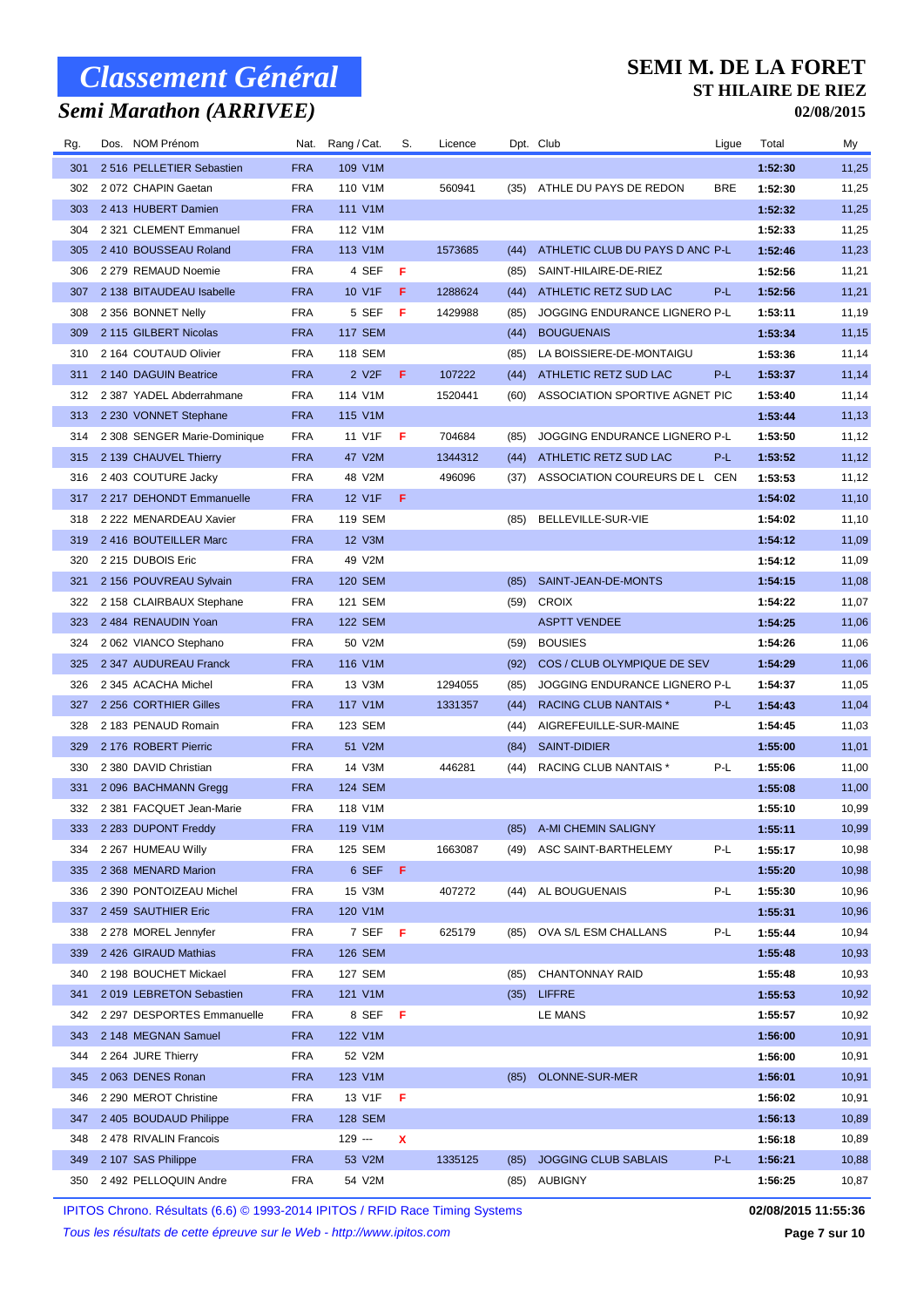## *Semi Marathon (ARRIVEE)*

#### **SEMI M. DE LA FORET ST HILAIRE DE RIEZ**

**02/08/2015**

| Rg.        | Dos. NOM Prénom                               | Nat.                     | Rang / Cat.               | S.  | Licence |      | Dpt. Club                            | Ligue      | Total              | My             |
|------------|-----------------------------------------------|--------------------------|---------------------------|-----|---------|------|--------------------------------------|------------|--------------------|----------------|
| 301        | 2 516 PELLETIER Sebastien                     | <b>FRA</b>               | 109 V1M                   |     |         |      |                                      |            | 1:52:30            | 11,25          |
| 302        | 2072 CHAPIN Gaetan                            | <b>FRA</b>               | 110 V1M                   |     | 560941  |      | (35) ATHLE DU PAYS DE REDON          | <b>BRE</b> | 1:52:30            | 11,25          |
| 303        | 2 413 HUBERT Damien                           | <b>FRA</b>               | 111 V1M                   |     |         |      |                                      |            | 1:52:32            | 11,25          |
| 304        | 2 321 CLEMENT Emmanuel                        | <b>FRA</b>               | 112 V1M                   |     |         |      |                                      |            | 1:52:33            | 11,25          |
| 305        | 2 410 BOUSSEAU Roland                         | <b>FRA</b>               | 113 V1M                   |     | 1573685 | (44) | ATHLETIC CLUB DU PAYS D ANC P-L      |            | 1:52:46            | 11,23          |
| 306        | 2 279 REMAUD Noemie                           | <b>FRA</b>               | 4 SEF                     | F   |         | (85) | SAINT-HILAIRE-DE-RIEZ                |            | 1:52:56            | 11,21          |
| 307        | 2 138 BITAUDEAU Isabelle                      | <b>FRA</b>               | 10 V1F                    | F   | 1288624 | (44) | ATHLETIC RETZ SUD LAC                | P-L        | 1:52:56            | 11,21          |
| 308        | 2 356 BONNET Nelly                            | <b>FRA</b>               | 5 SEF                     | F   | 1429988 | (85) | <b>JOGGING ENDURANCE LIGNERO P-L</b> |            | 1:53:11            | 11,19          |
| 309        | 2 115 GILBERT Nicolas                         | <b>FRA</b>               | <b>117 SEM</b>            |     |         | (44) | <b>BOUGUENAIS</b>                    |            | 1:53:34            | 11,15          |
| 310        | 2 164 COUTAUD Olivier                         | <b>FRA</b>               | <b>118 SEM</b>            |     |         | (85) | LA BOISSIERE-DE-MONTAIGU             |            | 1:53:36            | 11,14          |
| 311        | 2 140 DAGUIN Beatrice                         | <b>FRA</b>               | 2 V2F                     | F.  | 107222  | (44) | ATHLETIC RETZ SUD LAC                | P-L        | 1:53:37            | 11,14          |
| 312        | 2 387 YADEL Abderrahmane                      | <b>FRA</b>               | 114 V1M                   |     | 1520441 | (60) | ASSOCIATION SPORTIVE AGNET PIC       |            | 1:53:40            | 11,14          |
| 313        | 2 230 VONNET Stephane                         | <b>FRA</b>               | 115 V1M                   |     |         |      |                                      |            | 1:53:44            | 11,13          |
| 314        | 2 308 SENGER Marie-Dominique                  | <b>FRA</b>               | 11 V1F                    | F   | 704684  | (85) | <b>JOGGING ENDURANCE LIGNERO P-L</b> |            | 1:53:50            | 11,12          |
| 315        | 2 139 CHAUVEL Thierry                         | <b>FRA</b>               | 47 V2M                    |     | 1344312 | (44) | ATHLETIC RETZ SUD LAC                | P-L        | 1:53:52            | 11,12          |
| 316        | 2 403 COUTURE Jacky                           | <b>FRA</b>               | 48 V2M                    |     | 496096  | (37) | ASSOCIATION COUREURS DE L CEN        |            | 1:53:53            | 11,12          |
| 317        | 2 217 DEHONDT Emmanuelle                      | <b>FRA</b>               | 12 V1F                    | F   |         |      |                                      |            | 1:54:02            | 11,10          |
| 318        | 2 222 MENARDEAU Xavier                        | <b>FRA</b>               | 119 SEM                   |     |         | (85) | BELLEVILLE-SUR-VIE                   |            | 1:54:02            | 11,10          |
| 319        | 2 416 BOUTEILLER Marc                         | <b>FRA</b>               | 12 V3M                    |     |         |      |                                      |            | 1:54:12            | 11,09          |
| 320        | 2 215 DUBOIS Eric                             | <b>FRA</b>               | 49 V2M                    |     |         |      |                                      |            | 1:54:12            | 11,09          |
| 321        | 2 156 POUVREAU Sylvain                        | <b>FRA</b>               | <b>120 SEM</b>            |     |         | (85) | SAINT-JEAN-DE-MONTS                  |            | 1:54:15            | 11,08          |
| 322        | 2 158 CLAIRBAUX Stephane                      | FRA                      | 121 SEM                   |     |         | (59) | <b>CROIX</b>                         |            | 1:54:22            | 11,07          |
| 323        | 2 484 RENAUDIN Yoan                           | <b>FRA</b>               | <b>122 SEM</b>            |     |         |      | <b>ASPTT VENDEE</b>                  |            | 1:54:25            | 11,06          |
| 324        | 2062 VIANCO Stephano                          | <b>FRA</b>               | 50 V2M                    |     |         | (59) | <b>BOUSIES</b>                       |            | 1:54:26            | 11,06          |
| 325        | 2 347 AUDUREAU Franck                         | <b>FRA</b>               | 116 V1M                   |     |         | (92) | COS / CLUB OLYMPIQUE DE SEV          |            | 1:54:29            | 11,06          |
| 326        | 2 345 ACACHA Michel                           | <b>FRA</b>               | 13 V3M                    |     | 1294055 | (85) | JOGGING ENDURANCE LIGNERO P-L        |            | 1:54:37            | 11,05          |
| 327        | 2 256 CORTHIER Gilles                         | <b>FRA</b>               | 117 V1M                   |     | 1331357 | (44) | <b>RACING CLUB NANTAIS *</b>         | P-L        | 1:54:43            | 11,04          |
| 328        | 2 183 PENAUD Romain                           | <b>FRA</b>               | 123 SEM                   |     |         | (44) | AIGREFEUILLE-SUR-MAINE               |            | 1:54:45            | 11,03          |
| 329        | 2 176 ROBERT Pierric                          | <b>FRA</b>               | 51 V2M                    |     |         | (84) | SAINT-DIDIER                         |            | 1:55:00            | 11,01          |
| 330        | 2 380 DAVID Christian                         | <b>FRA</b>               | 14 V3M                    |     | 446281  | (44) | RACING CLUB NANTAIS *                | P-L        | 1:55:06            | 11,00          |
| 331        | 2096 BACHMANN Gregg                           | <b>FRA</b>               | <b>124 SEM</b><br>118 V1M |     |         |      |                                      |            | 1:55:08            | 11,00          |
| 332        | 2 381 FACQUET Jean-Marie                      | <b>FRA</b>               | 119 V1M                   |     |         |      |                                      |            | 1:55:10            | 10,99          |
|            | 333 2 283 DUPONT Freddy<br>2 267 HUMEAU Willy | <b>FRA</b>               |                           |     |         |      | (85) A-MI CHEMIN SALIGNY             |            | 1:55:11            | 10,99          |
| 334<br>335 | 2 368 MENARD Marion                           | <b>FRA</b><br><b>FRA</b> | 125 SEM<br>6 SEF          | - F | 1663087 |      | (49) ASC SAINT-BARTHELEMY            | P-L        | 1:55:17<br>1:55:20 | 10,98<br>10,98 |
| 336        | 2 390 PONTOIZEAU Michel                       | <b>FRA</b>               | 15 V3M                    |     | 407272  |      | (44) AL BOUGUENAIS                   | P-L        | 1:55:30            | 10,96          |
| 337        | 2 459 SAUTHIER Eric                           | <b>FRA</b>               | 120 V1M                   |     |         |      |                                      |            | 1:55:31            | 10,96          |
| 338        | 2 278 MOREL Jennyfer                          | <b>FRA</b>               | 7 SEF                     | -F  | 625179  | (85) | OVA S/L ESM CHALLANS                 | P-L        | 1:55:44            | 10,94          |
| 339        | 2 426 GIRAUD Mathias                          | <b>FRA</b>               | 126 SEM                   |     |         |      |                                      |            | 1:55:48            | 10,93          |
| 340        | 2 198 BOUCHET Mickael                         | <b>FRA</b>               | 127 SEM                   |     |         | (85) | CHANTONNAY RAID                      |            | 1:55:48            | 10,93          |
| 341        | 2019 LEBRETON Sebastien                       | <b>FRA</b>               | 121 V1M                   |     |         | (35) | <b>LIFFRE</b>                        |            | 1:55:53            | 10,92          |
| 342        | 2 297 DESPORTES Emmanuelle                    | <b>FRA</b>               | 8 SEF                     | -F  |         |      | LE MANS                              |            | 1:55:57            | 10,92          |
| 343        | 2 148 MEGNAN Samuel                           | <b>FRA</b>               | 122 V1M                   |     |         |      |                                      |            | 1:56:00            | 10,91          |
| 344        | 2 264 JURE Thierry                            | <b>FRA</b>               | 52 V2M                    |     |         |      |                                      |            | 1:56:00            | 10,91          |
| 345        | 2063 DENES Ronan                              | <b>FRA</b>               | 123 V1M                   |     |         | (85) | OLONNE-SUR-MER                       |            | 1:56:01            | 10,91          |
| 346        | 2 290 MEROT Christine                         | <b>FRA</b>               | 13 V1F                    | F   |         |      |                                      |            | 1:56:02            | 10,91          |
| 347        | 2 405 BOUDAUD Philippe                        | <b>FRA</b>               | <b>128 SEM</b>            |     |         |      |                                      |            | 1:56:13            | 10,89          |
| 348        | 2 478 RIVALIN Francois                        |                          | $129 -$                   | x   |         |      |                                      |            | 1:56:18            | 10,89          |
| 349        | 2 107 SAS Philippe                            | <b>FRA</b>               | 53 V2M                    |     | 1335125 | (85) | <b>JOGGING CLUB SABLAIS</b>          | P-L        | 1:56:21            | 10,88          |
| 350        | 2 492 PELLOQUIN Andre                         | <b>FRA</b>               | 54 V2M                    |     |         | (85) | <b>AUBIGNY</b>                       |            | 1:56:25            | 10,87          |

IPITOS Chrono. Résultats (6.6) © 1993-2014 IPITOS / RFID Race Timing Systems **02/08/2015 11:55:36**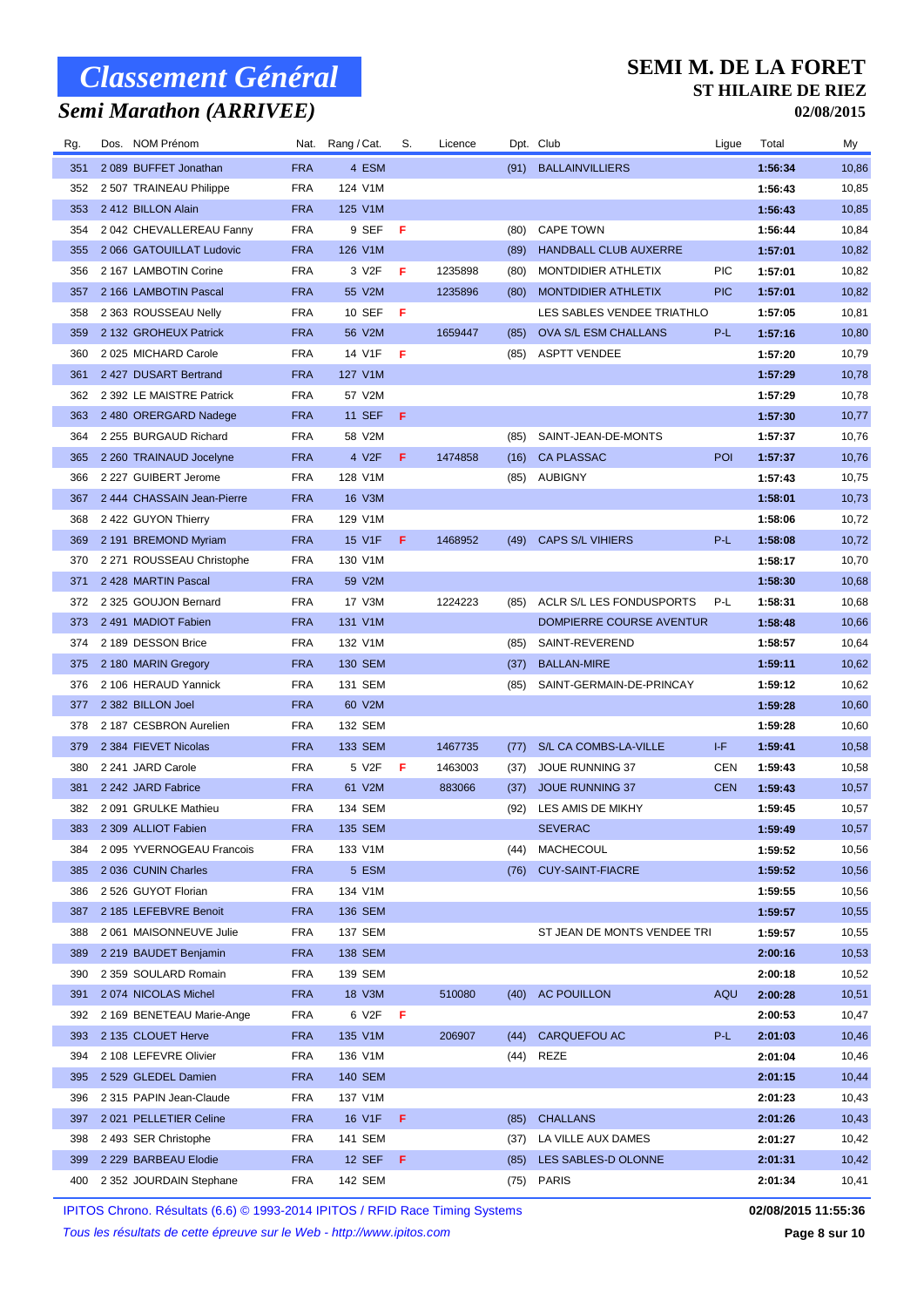## *Semi Marathon (ARRIVEE)*

#### **SEMI M. DE LA FORET ST HILAIRE DE RIEZ**

**02/08/2015**

| Rg. | Dos. NOM Prénom           | Nat.       | Rang / Cat.    | S.  | Licence |      | Dpt. Club                   | Ligue      | Total   | My    |
|-----|---------------------------|------------|----------------|-----|---------|------|-----------------------------|------------|---------|-------|
| 351 | 2 089 BUFFET Jonathan     | <b>FRA</b> | 4 ESM          |     |         | (91) | <b>BALLAINVILLIERS</b>      |            | 1:56:34 | 10,86 |
| 352 | 2 507 TRAINEAU Philippe   | <b>FRA</b> | 124 V1M        |     |         |      |                             |            | 1:56:43 | 10,85 |
| 353 | 2 412 BILLON Alain        | <b>FRA</b> | 125 V1M        |     |         |      |                             |            | 1:56:43 | 10,85 |
| 354 | 2042 CHEVALLEREAU Fanny   | <b>FRA</b> | 9 SEF          | F   |         | (80) | <b>CAPE TOWN</b>            |            | 1:56:44 | 10,84 |
| 355 | 2 066 GATOUILLAT Ludovic  | <b>FRA</b> | 126 V1M        |     |         | (89) | HANDBALL CLUB AUXERRE       |            | 1:57:01 | 10,82 |
| 356 | 2 167 LAMBOTIN Corine     | <b>FRA</b> | 3 V2F          | F   | 1235898 | (80) | MONTDIDIER ATHLETIX         | <b>PIC</b> | 1:57:01 | 10,82 |
| 357 | 2 166 LAMBOTIN Pascal     | <b>FRA</b> | 55 V2M         |     | 1235896 | (80) | MONTDIDIER ATHLETIX         | <b>PIC</b> | 1:57:01 | 10,82 |
| 358 | 2 363 ROUSSEAU Nelly      | <b>FRA</b> | 10 SEF         | F   |         |      | LES SABLES VENDEE TRIATHLO  |            | 1:57:05 | 10,81 |
| 359 | 2 132 GROHEUX Patrick     | <b>FRA</b> | 56 V2M         |     | 1659447 | (85) | OVA S/L ESM CHALLANS        | P-L        | 1:57:16 | 10,80 |
| 360 | 2025 MICHARD Carole       | <b>FRA</b> | 14 V1F         | -F  |         | (85) | <b>ASPTT VENDEE</b>         |            | 1:57:20 | 10,79 |
| 361 | 2 427 DUSART Bertrand     | <b>FRA</b> | 127 V1M        |     |         |      |                             |            | 1:57:29 | 10,78 |
| 362 | 2 392 LE MAISTRE Patrick  | FRA        | 57 V2M         |     |         |      |                             |            | 1:57:29 | 10,78 |
| 363 | 2 480 ORERGARD Nadege     | <b>FRA</b> | <b>11 SEF</b>  | F   |         |      |                             |            | 1:57:30 | 10,77 |
| 364 | 2 255 BURGAUD Richard     | <b>FRA</b> | 58 V2M         |     |         | (85) | SAINT-JEAN-DE-MONTS         |            | 1:57:37 | 10,76 |
| 365 | 2 260 TRAINAUD Jocelyne   | <b>FRA</b> | 4 V2F          | F   | 1474858 | (16) | <b>CA PLASSAC</b>           | POI        | 1:57:37 | 10,76 |
| 366 | 2 227 GUIBERT Jerome      | <b>FRA</b> | 128 V1M        |     |         |      | (85) AUBIGNY                |            | 1:57:43 | 10,75 |
| 367 | 2444 CHASSAIN Jean-Pierre | <b>FRA</b> | 16 V3M         |     |         |      |                             |            | 1:58:01 | 10,73 |
| 368 | 2 422 GUYON Thierry       | <b>FRA</b> | 129 V1M        |     |         |      |                             |            | 1:58:06 | 10,72 |
| 369 | 2 191 BREMOND Myriam      | <b>FRA</b> | 15 V1F         | F.  | 1468952 | (49) | <b>CAPS S/L VIHIERS</b>     | P-L        | 1:58:08 | 10,72 |
| 370 | 2 271 ROUSSEAU Christophe | <b>FRA</b> | 130 V1M        |     |         |      |                             |            | 1:58:17 | 10,70 |
| 371 | 2 428 MARTIN Pascal       | <b>FRA</b> | 59 V2M         |     |         |      |                             |            | 1:58:30 | 10,68 |
| 372 | 2 325 GOUJON Bernard      | <b>FRA</b> | 17 V3M         |     | 1224223 | (85) | ACLR S/L LES FONDUSPORTS    | P-L        | 1:58:31 | 10,68 |
| 373 | 2 491 MADIOT Fabien       | <b>FRA</b> | 131 V1M        |     |         |      | DOMPIERRE COURSE AVENTUR    |            | 1:58:48 | 10,66 |
| 374 | 2 189 DESSON Brice        | <b>FRA</b> | 132 V1M        |     |         | (85) | SAINT-REVEREND              |            | 1:58:57 | 10,64 |
| 375 | 2 180 MARIN Gregory       | <b>FRA</b> | <b>130 SEM</b> |     |         | (37) | <b>BALLAN-MIRE</b>          |            | 1:59:11 | 10,62 |
| 376 | 2 106 HERAUD Yannick      | <b>FRA</b> | 131 SEM        |     |         | (85) | SAINT-GERMAIN-DE-PRINCAY    |            | 1:59:12 | 10,62 |
| 377 | 2 382 BILLON Joel         | <b>FRA</b> | 60 V2M         |     |         |      |                             |            | 1:59:28 | 10,60 |
| 378 | 2 187 CESBRON Aurelien    | <b>FRA</b> | 132 SEM        |     |         |      |                             |            | 1:59:28 | 10,60 |
| 379 | 2 384 FIEVET Nicolas      | <b>FRA</b> | 133 SEM        |     | 1467735 | (77) | S/L CA COMBS-LA-VILLE       | I-F        | 1:59:41 | 10,58 |
| 380 | 2 241 JARD Carole         | <b>FRA</b> | 5 V2F          | F   | 1463003 | (37) | JOUE RUNNING 37             | <b>CEN</b> | 1:59:43 | 10,58 |
| 381 | 2 242 JARD Fabrice        | <b>FRA</b> | 61 V2M         |     | 883066  | (37) | <b>JOUE RUNNING 37</b>      | <b>CEN</b> | 1:59:43 | 10,57 |
| 382 | 2091 GRULKE Mathieu       | <b>FRA</b> | 134 SEM        |     |         | (92) | LES AMIS DE MIKHY           |            | 1:59:45 | 10,57 |
|     | 383 2 309 ALLIOT Fabien   | <b>FRA</b> | 135 SEM        |     |         |      | <b>SEVERAC</b>              |            | 1:59:49 | 10,57 |
| 384 | 2095 YVERNOGEAU Francois  | <b>FRA</b> | 133 V1M        |     |         | (44) | MACHECOUL                   |            | 1:59:52 | 10,56 |
| 385 | 2036 CUNIN Charles        | <b>FRA</b> | 5 ESM          |     |         |      | (76) CUY-SAINT-FIACRE       |            | 1:59:52 | 10,56 |
| 386 | 2 526 GUYOT Florian       | <b>FRA</b> | 134 V1M        |     |         |      |                             |            | 1:59:55 | 10,56 |
| 387 | 2 185 LEFEBVRE Benoit     | <b>FRA</b> | <b>136 SEM</b> |     |         |      |                             |            | 1:59:57 | 10,55 |
| 388 | 2061 MAISONNEUVE Julie    | <b>FRA</b> | 137 SEM        |     |         |      | ST JEAN DE MONTS VENDEE TRI |            | 1:59:57 | 10,55 |
| 389 | 2 219 BAUDET Benjamin     | <b>FRA</b> | 138 SEM        |     |         |      |                             |            | 2:00:16 | 10,53 |
| 390 | 2 359 SOULARD Romain      | <b>FRA</b> | 139 SEM        |     |         |      |                             |            | 2:00:18 | 10,52 |
| 391 | 2074 NICOLAS Michel       | <b>FRA</b> | 18 V3M         |     | 510080  |      | (40) AC POUILLON            | AQU        | 2:00:28 | 10,51 |
| 392 | 2 169 BENETEAU Marie-Ange | FRA        | 6 V2F          | - F |         |      |                             |            | 2:00:53 | 10,47 |
| 393 | 2 135 CLOUET Herve        | <b>FRA</b> | 135 V1M        |     | 206907  | (44) | CARQUEFOU AC                | P-L        | 2:01:03 | 10,46 |
| 394 | 2 108 LEFEVRE Olivier     | <b>FRA</b> | 136 V1M        |     |         |      | (44) REZE                   |            | 2:01:04 | 10,46 |
| 395 | 2 529 GLEDEL Damien       | <b>FRA</b> | 140 SEM        |     |         |      |                             |            | 2:01:15 | 10,44 |
| 396 | 2 315 PAPIN Jean-Claude   | <b>FRA</b> | 137 V1M        |     |         |      |                             |            | 2:01:23 | 10,43 |
| 397 | 2021 PELLETIER Celine     | <b>FRA</b> | 16 V1F         | F.  |         | (85) | <b>CHALLANS</b>             |            | 2:01:26 | 10,43 |
| 398 | 2493 SER Christophe       | <b>FRA</b> | 141 SEM        |     |         | (37) | LA VILLE AUX DAMES          |            | 2:01:27 | 10,42 |
| 399 | 2 229 BARBEAU Elodie      | <b>FRA</b> | 12 SEF         | F.  |         | (85) | LES SABLES-D OLONNE         |            | 2:01:31 | 10,42 |
| 400 | 2 352 JOURDAIN Stephane   | FRA        | 142 SEM        |     |         |      | $(75)$ PARIS                |            | 2:01:34 | 10,41 |

IPITOS Chrono. Résultats (6.6) © 1993-2014 IPITOS / RFID Race Timing Systems **02/08/2015 11:55:36**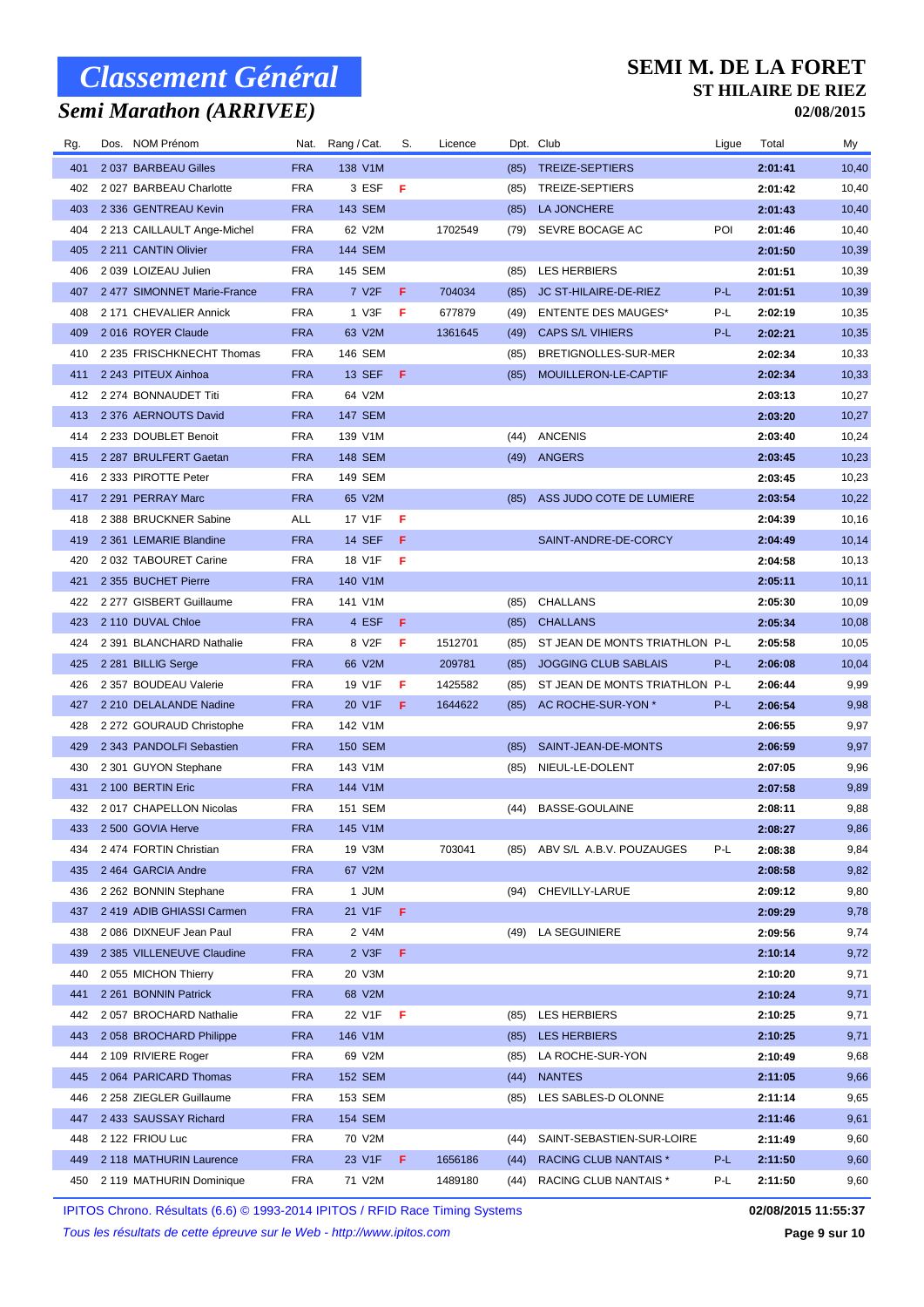## *Semi Marathon (ARRIVEE)*

#### **SEMI M. DE LA FORET ST HILAIRE DE RIEZ**

**02/08/2015**

| Rg. | Dos. NOM Prénom             | Nat.       | Rang / Cat.        | S.  | Licence |      | Dpt. Club                      | Ligue | Total   | My     |
|-----|-----------------------------|------------|--------------------|-----|---------|------|--------------------------------|-------|---------|--------|
| 401 | 2037 BARBEAU Gilles         | <b>FRA</b> | 138 V1M            |     |         | (85) | TREIZE-SEPTIERS                |       | 2:01:41 | 10,40  |
| 402 | 2 027 BARBEAU Charlotte     | <b>FRA</b> | 3 ESF              | -F  |         | (85) | TREIZE-SEPTIERS                |       | 2:01:42 | 10,40  |
| 403 | 2 336 GENTREAU Kevin        | <b>FRA</b> | 143 SEM            |     |         | (85) | LA JONCHERE                    |       | 2:01:43 | 10,40  |
| 404 | 2 213 CAILLAULT Ange-Michel | <b>FRA</b> | 62 V2M             |     | 1702549 | (79) | SEVRE BOCAGE AC                | POI   | 2:01:46 | 10,40  |
| 405 | 2 211 CANTIN Olivier        | <b>FRA</b> | 144 SEM            |     |         |      |                                |       | 2:01:50 | 10,39  |
| 406 | 2 039 LOIZEAU Julien        | <b>FRA</b> | 145 SEM            |     |         | (85) | <b>LES HERBIERS</b>            |       | 2:01:51 | 10,39  |
| 407 | 2477 SIMONNET Marie-France  | <b>FRA</b> | 7 V <sub>2</sub> F | F   | 704034  | (85) | JC ST-HILAIRE-DE-RIEZ          | P-L   | 2:01:51 | 10,39  |
| 408 | 2 171 CHEVALIER Annick      | <b>FRA</b> | 1 V3F              | F   | 677879  | (49) | <b>ENTENTE DES MAUGES*</b>     | P-L   | 2:02:19 | 10,35  |
| 409 | 2016 ROYER Claude           | <b>FRA</b> | 63 V2M             |     | 1361645 | (49) | <b>CAPS S/L VIHIERS</b>        | P-L   | 2:02:21 | 10,35  |
| 410 | 2 235 FRISCHKNECHT Thomas   | <b>FRA</b> | 146 SEM            |     |         | (85) | BRETIGNOLLES-SUR-MER           |       | 2:02:34 | 10,33  |
| 411 | 2 243 PITEUX Ainhoa         | <b>FRA</b> | 13 SEF             | -F  |         | (85) | MOUILLERON-LE-CAPTIF           |       | 2:02:34 | 10,33  |
| 412 | 2 274 BONNAUDET Titi        | <b>FRA</b> | 64 V2M             |     |         |      |                                |       | 2:03:13 | 10,27  |
| 413 | 2 376 AERNOUTS David        | <b>FRA</b> | <b>147 SEM</b>     |     |         |      |                                |       | 2:03:20 | 10,27  |
| 414 | 2 233 DOUBLET Benoit        | <b>FRA</b> | 139 V1M            |     |         | (44) | <b>ANCENIS</b>                 |       | 2:03:40 | 10,24  |
| 415 | 2 287 BRULFERT Gaetan       | <b>FRA</b> | <b>148 SEM</b>     |     |         | (49) | ANGERS                         |       | 2:03:45 | 10,23  |
| 416 | 2 333 PIROTTE Peter         | <b>FRA</b> | 149 SEM            |     |         |      |                                |       | 2:03:45 | 10,23  |
| 417 | 2 291 PERRAY Marc           | <b>FRA</b> | 65 V2M             |     |         | (85) | ASS JUDO COTE DE LUMIERE       |       | 2:03:54 | 10,22  |
| 418 | 2 388 BRUCKNER Sabine       | <b>ALL</b> | 17 V1F             | F   |         |      |                                |       | 2:04:39 | 10,16  |
| 419 | 2 361 LEMARIE Blandine      | <b>FRA</b> | <b>14 SEF</b>      | -F  |         |      | SAINT-ANDRE-DE-CORCY           |       | 2:04:49 | 10,14  |
| 420 | 2 032 TABOURET Carine       | <b>FRA</b> | 18 V1F             | F   |         |      |                                |       | 2:04:58 | 10, 13 |
| 421 | 2 355 BUCHET Pierre         | <b>FRA</b> | 140 V1M            |     |         |      |                                |       | 2:05:11 | 10,11  |
| 422 | 2 277 GISBERT Guillaume     | <b>FRA</b> | 141 V1M            |     |         | (85) | CHALLANS                       |       | 2:05:30 | 10,09  |
| 423 | 2 110 DUVAL Chloe           | <b>FRA</b> | 4 ESF              | F   |         | (85) | <b>CHALLANS</b>                |       | 2:05:34 | 10,08  |
| 424 | 2 391 BLANCHARD Nathalie    | <b>FRA</b> | 8 V2F              | F   | 1512701 | (85) | ST JEAN DE MONTS TRIATHLON P-L |       | 2:05:58 | 10,05  |
| 425 | 2 281 BILLIG Serge          | <b>FRA</b> | 66 V2M             |     | 209781  | (85) | <b>JOGGING CLUB SABLAIS</b>    | P-L   | 2:06:08 | 10,04  |
| 426 | 2 357 BOUDEAU Valerie       | <b>FRA</b> | 19 V1F             | F   | 1425582 | (85) | ST JEAN DE MONTS TRIATHLON P-L |       | 2:06:44 | 9,99   |
| 427 | 2 210 DELALANDE Nadine      | <b>FRA</b> | 20 V1F             | F.  | 1644622 | (85) | AC ROCHE-SUR-YON *             | P-L   | 2:06:54 | 9,98   |
| 428 | 2 272 GOURAUD Christophe    | <b>FRA</b> | 142 V1M            |     |         |      |                                |       | 2:06:55 | 9,97   |
| 429 | 2 343 PANDOLFI Sebastien    | <b>FRA</b> | <b>150 SEM</b>     |     |         | (85) | SAINT-JEAN-DE-MONTS            |       | 2:06:59 | 9,97   |
| 430 | 2 301 GUYON Stephane        | <b>FRA</b> | 143 V1M            |     |         | (85) | NIEUL-LE-DOLENT                |       | 2:07:05 | 9,96   |
| 431 | 2 100 BERTIN Eric           | <b>FRA</b> | 144 V1M            |     |         |      |                                |       | 2:07:58 | 9,89   |
| 432 | 2017 CHAPELLON Nicolas      | <b>FRA</b> | 151 SEM            |     |         | (44) | <b>BASSE-GOULAINE</b>          |       | 2:08:11 | 9,88   |
|     | 433 2 500 GOVIA Herve       | <b>FRA</b> | 145 V1M            |     |         |      |                                |       | 2:08:27 | 9,86   |
| 434 | 2474 FORTIN Christian       | <b>FRA</b> | 19 V3M             |     | 703041  |      | (85) ABV S/L A.B.V. POUZAUGES  | P-L   | 2:08:38 | 9,84   |
| 435 | 2464 GARCIA Andre           | <b>FRA</b> | 67 V2M             |     |         |      |                                |       | 2:08:58 | 9,82   |
| 436 | 2 262 BONNIN Stephane       | <b>FRA</b> | 1 JUM              |     |         | (94) | CHEVILLY-LARUE                 |       | 2:09:12 | 9,80   |
| 437 | 2 419 ADIB GHIASSI Carmen   | <b>FRA</b> | 21 V1F             | F   |         |      |                                |       | 2:09:29 | 9,78   |
| 438 | 2 086 DIXNEUF Jean Paul     | <b>FRA</b> | 2 V4M              |     |         | (49) | LA SEGUINIERE                  |       | 2:09:56 | 9,74   |
| 439 | 2 385 VILLENEUVE Claudine   | <b>FRA</b> | 2 V3F              | F   |         |      |                                |       | 2:10:14 | 9,72   |
| 440 | 2055 MICHON Thierry         | <b>FRA</b> | 20 V3M             |     |         |      |                                |       | 2:10:20 | 9,71   |
| 441 | 2 261 BONNIN Patrick        | <b>FRA</b> | 68 V2M             |     |         |      |                                |       | 2:10:24 | 9,71   |
| 442 | 2057 BROCHARD Nathalie      | <b>FRA</b> | 22 V1F             | - F |         | (85) | LES HERBIERS                   |       | 2:10:25 | 9,71   |
| 443 | 2058 BROCHARD Philippe      | <b>FRA</b> | 146 V1M            |     |         | (85) | <b>LES HERBIERS</b>            |       | 2:10:25 | 9,71   |
| 444 | 2 109 RIVIERE Roger         | <b>FRA</b> | 69 V2M             |     |         | (85) | LA ROCHE-SUR-YON               |       | 2:10:49 | 9,68   |
| 445 | 2064 PARICARD Thomas        | <b>FRA</b> | <b>152 SEM</b>     |     |         | (44) | <b>NANTES</b>                  |       | 2:11:05 | 9,66   |
| 446 | 2 258 ZIEGLER Guillaume     | <b>FRA</b> | 153 SEM            |     |         | (85) | LES SABLES-D OLONNE            |       | 2:11:14 | 9,65   |
| 447 | 2 433 SAUSSAY Richard       | <b>FRA</b> | 154 SEM            |     |         |      |                                |       | 2:11:46 | 9,61   |
| 448 | 2 122 FRIOU Luc             | <b>FRA</b> | 70 V2M             |     |         | (44) | SAINT-SEBASTIEN-SUR-LOIRE      |       | 2:11:49 | 9,60   |
| 449 | 2 118 MATHURIN Laurence     | <b>FRA</b> | 23 V1F             | F.  | 1656186 | (44) | RACING CLUB NANTAIS *          | P-L   | 2:11:50 | 9,60   |
| 450 | 2 119 MATHURIN Dominique    | <b>FRA</b> | 71 V2M             |     | 1489180 | (44) | RACING CLUB NANTAIS *          | P-L   | 2:11:50 | 9,60   |

IPITOS Chrono. Résultats (6.6) © 1993-2014 IPITOS / RFID Race Timing Systems **02/08/2015 11:55:37**